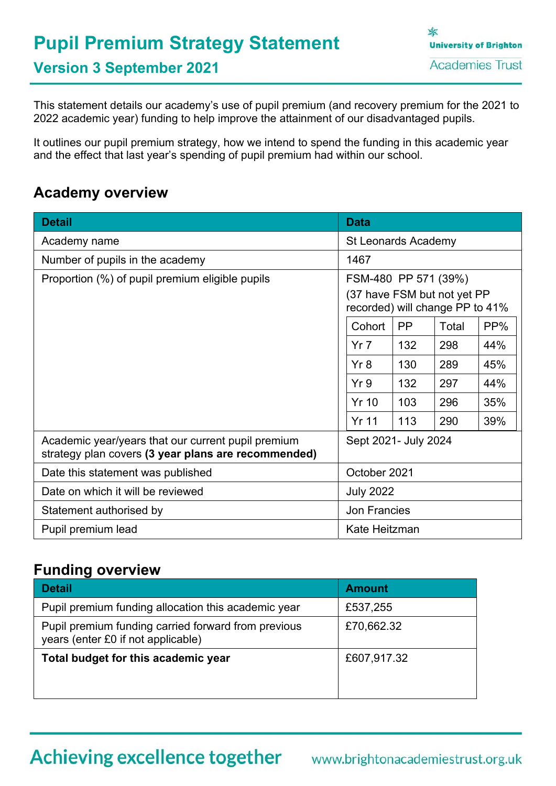# **Pupil Premium Strategy Statement**

家 **University of Brighton Academies Trust** 

**Version 3 September 2021**

This statement details our academy's use of pupil premium (and recovery premium for the 2021 to 2022 academic year) funding to help improve the attainment of our disadvantaged pupils.

It outlines our pupil premium strategy, how we intend to spend the funding in this academic year and the effect that last year's spending of pupil premium had within our school.

## **Academy overview**

| <b>Detail</b>                                                                                             | <b>Data</b>                                                                             |           |       |     |
|-----------------------------------------------------------------------------------------------------------|-----------------------------------------------------------------------------------------|-----------|-------|-----|
| Academy name                                                                                              | <b>St Leonards Academy</b>                                                              |           |       |     |
| Number of pupils in the academy                                                                           | 1467                                                                                    |           |       |     |
| Proportion (%) of pupil premium eligible pupils                                                           | FSM-480 PP 571 (39%)<br>(37 have FSM but not yet PP)<br>recorded) will change PP to 41% |           |       |     |
|                                                                                                           | Cohort                                                                                  | <b>PP</b> | Total | PP% |
|                                                                                                           | Yr <sub>7</sub>                                                                         | 132       | 298   | 44% |
|                                                                                                           | Yr8                                                                                     | 130       | 289   | 45% |
|                                                                                                           | Yr9                                                                                     | 132       | 297   | 44% |
|                                                                                                           | <b>Yr 10</b>                                                                            | 103       | 296   | 35% |
|                                                                                                           | <b>Yr 11</b>                                                                            | 113       | 290   | 39% |
| Academic year/years that our current pupil premium<br>strategy plan covers (3 year plans are recommended) | Sept 2021- July 2024                                                                    |           |       |     |
| Date this statement was published                                                                         | October 2021                                                                            |           |       |     |
| Date on which it will be reviewed<br><b>July 2022</b>                                                     |                                                                                         |           |       |     |
| <b>Jon Francies</b><br>Statement authorised by                                                            |                                                                                         |           |       |     |
| Kate Heitzman<br>Pupil premium lead                                                                       |                                                                                         |           |       |     |

### **Funding overview**

| <b>Detail</b>                                                                             | <b>Amount</b> |
|-------------------------------------------------------------------------------------------|---------------|
| Pupil premium funding allocation this academic year                                       | £537,255      |
| Pupil premium funding carried forward from previous<br>years (enter £0 if not applicable) | £70,662.32    |
| Total budget for this academic year                                                       | £607,917.32   |

## Achieving excellence together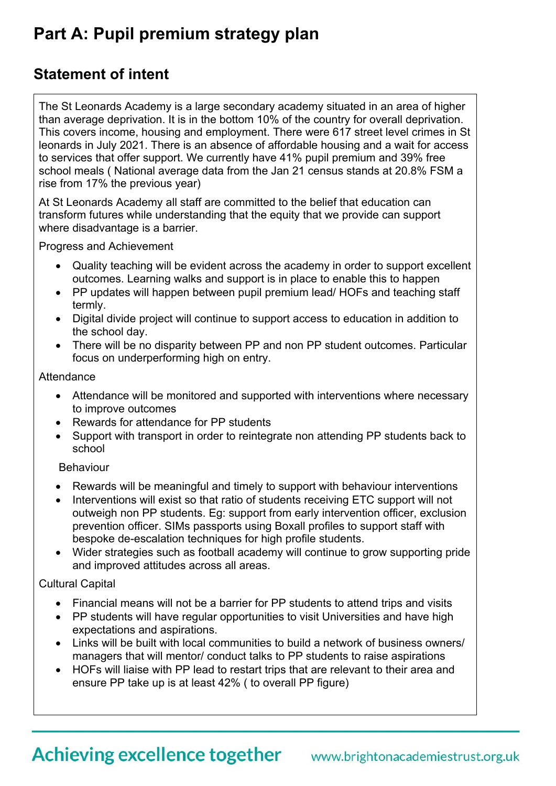## **Part A: Pupil premium strategy plan**

## **Statement of intent**

The St Leonards Academy is a large secondary academy situated in an area of higher than average deprivation. It is in the bottom 10% of the country for overall deprivation. This covers income, housing and employment. There were 617 street level crimes in St leonards in July 2021. There is an absence of affordable housing and a wait for access to services that offer support. We currently have 41% pupil premium and 39% free school meals ( National average data from the Jan 21 census stands at 20.8% FSM a rise from 17% the previous year)

At St Leonards Academy all staff are committed to the belief that education can transform futures while understanding that the equity that we provide can support where disadvantage is a barrier.

Progress and Achievement

- Quality teaching will be evident across the academy in order to support excellent outcomes. Learning walks and support is in place to enable this to happen
- PP updates will happen between pupil premium lead/ HOFs and teaching staff termly.
- Digital divide project will continue to support access to education in addition to the school day.
- There will be no disparity between PP and non PP student outcomes. Particular focus on underperforming high on entry.

#### **Attendance**

- Attendance will be monitored and supported with interventions where necessary to improve outcomes
- Rewards for attendance for PP students
- Support with transport in order to reintegrate non attending PP students back to school

#### Behaviour

- Rewards will be meaningful and timely to support with behaviour interventions
- Interventions will exist so that ratio of students receiving ETC support will not outweigh non PP students. Eg: support from early intervention officer, exclusion prevention officer. SIMs passports using Boxall profiles to support staff with bespoke de-escalation techniques for high profile students.
- Wider strategies such as football academy will continue to grow supporting pride and improved attitudes across all areas.

#### Cultural Capital

- Financial means will not be a barrier for PP students to attend trips and visits
- PP students will have regular opportunities to visit Universities and have high expectations and aspirations.
- Links will be built with local communities to build a network of business owners/ managers that will mentor/ conduct talks to PP students to raise aspirations
- HOFs will liaise with PP lead to restart trips that are relevant to their area and ensure PP take up is at least 42% ( to overall PP figure)
- Achieving excellence together www.brightonacademiestrust.org.uk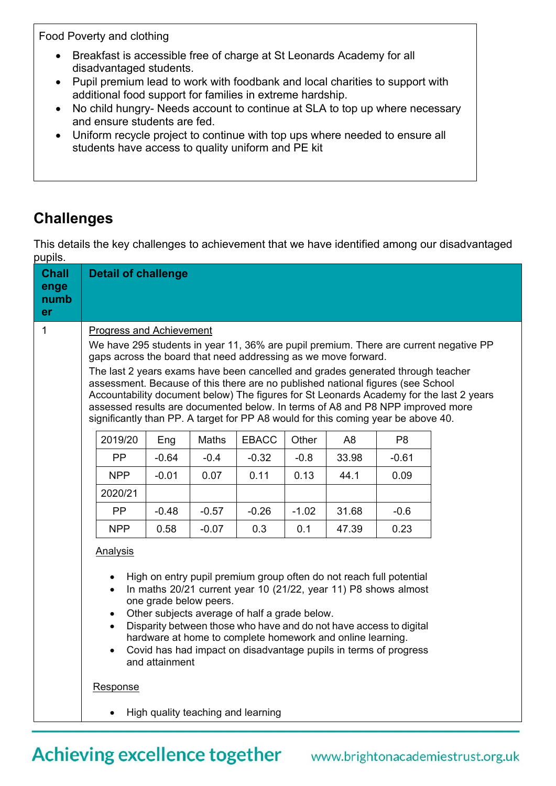Food Poverty and clothing

- Breakfast is accessible free of charge at St Leonards Academy for all disadvantaged students.
- Pupil premium lead to work with foodbank and local charities to support with additional food support for families in extreme hardship.
- No child hungry- Needs account to continue at SLA to top up where necessary and ensure students are fed.
- Uniform recycle project to continue with top ups where needed to ensure all students have access to quality uniform and PE kit

## **Challenges**

This details the key challenges to achievement that we have identified among our disadvantaged pupils.

| <b>Chall</b><br>enge<br>numb<br>er | <b>Detail of challenge</b>                                                                                                                                                                                                                                                                                                                                                                                                                                                                                                                                                                                                         |         |                                    |              |         |                |                |  |
|------------------------------------|------------------------------------------------------------------------------------------------------------------------------------------------------------------------------------------------------------------------------------------------------------------------------------------------------------------------------------------------------------------------------------------------------------------------------------------------------------------------------------------------------------------------------------------------------------------------------------------------------------------------------------|---------|------------------------------------|--------------|---------|----------------|----------------|--|
| $\mathbf{1}$                       | <b>Progress and Achievement</b><br>We have 295 students in year 11, 36% are pupil premium. There are current negative PP<br>gaps across the board that need addressing as we move forward.<br>The last 2 years exams have been cancelled and grades generated through teacher<br>assessment. Because of this there are no published national figures (see School<br>Accountability document below) The figures for St Leonards Academy for the last 2 years<br>assessed results are documented below. In terms of A8 and P8 NPP improved more<br>significantly than PP. A target for PP A8 would for this coming year be above 40. |         |                                    |              |         |                |                |  |
|                                    | 2019/20                                                                                                                                                                                                                                                                                                                                                                                                                                                                                                                                                                                                                            | Eng     | Maths                              | <b>EBACC</b> | Other   | A <sub>8</sub> | P <sub>8</sub> |  |
|                                    | <b>PP</b>                                                                                                                                                                                                                                                                                                                                                                                                                                                                                                                                                                                                                          | $-0.64$ | $-0.4$                             | $-0.32$      | $-0.8$  | 33.98          | $-0.61$        |  |
|                                    | <b>NPP</b>                                                                                                                                                                                                                                                                                                                                                                                                                                                                                                                                                                                                                         | $-0.01$ | 0.07                               | 0.11         | 0.13    | 44.1           | 0.09           |  |
|                                    | 2020/21                                                                                                                                                                                                                                                                                                                                                                                                                                                                                                                                                                                                                            |         |                                    |              |         |                |                |  |
|                                    | <b>PP</b>                                                                                                                                                                                                                                                                                                                                                                                                                                                                                                                                                                                                                          | $-0.48$ | $-0.57$                            | $-0.26$      | $-1.02$ | 31.68          | $-0.6$         |  |
|                                    | <b>NPP</b>                                                                                                                                                                                                                                                                                                                                                                                                                                                                                                                                                                                                                         | 0.58    | $-0.07$                            | 0.3          | 0.1     | 47.39          | 0.23           |  |
|                                    | Analysis<br>High on entry pupil premium group often do not reach full potential<br>In maths 20/21 current year 10 (21/22, year 11) P8 shows almost<br>one grade below peers.<br>Other subjects average of half a grade below.<br>Disparity between those who have and do not have access to digital<br>hardware at home to complete homework and online learning.<br>Covid has had impact on disadvantage pupils in terms of progress<br>and attainment<br><b>Response</b>                                                                                                                                                         |         |                                    |              |         |                |                |  |
|                                    |                                                                                                                                                                                                                                                                                                                                                                                                                                                                                                                                                                                                                                    |         | High quality teaching and learning |              |         |                |                |  |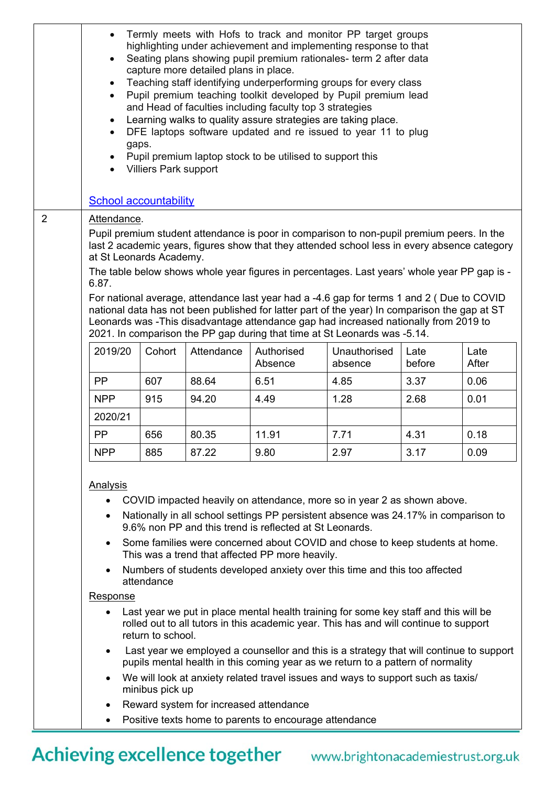|                | Termly meets with Hofs to track and monitor PP target groups<br>highlighting under achievement and implementing response to that<br>Seating plans showing pupil premium rationales- term 2 after data<br>$\bullet$<br>capture more detailed plans in place.<br>Teaching staff identifying underperforming groups for every class<br>$\bullet$<br>Pupil premium teaching toolkit developed by Pupil premium lead<br>$\bullet$<br>and Head of faculties including faculty top 3 strategies<br>Learning walks to quality assure strategies are taking place.<br>$\bullet$<br>DFE laptops software updated and re issued to year 11 to plug<br>gaps.<br>Pupil premium laptop stock to be utilised to support this<br><b>Villiers Park support</b> |        |                                        |                                                                                         |              |        |       |
|----------------|-----------------------------------------------------------------------------------------------------------------------------------------------------------------------------------------------------------------------------------------------------------------------------------------------------------------------------------------------------------------------------------------------------------------------------------------------------------------------------------------------------------------------------------------------------------------------------------------------------------------------------------------------------------------------------------------------------------------------------------------------|--------|----------------------------------------|-----------------------------------------------------------------------------------------|--------------|--------|-------|
|                | School accountability                                                                                                                                                                                                                                                                                                                                                                                                                                                                                                                                                                                                                                                                                                                         |        |                                        |                                                                                         |              |        |       |
| $\overline{2}$ | Attendance.<br>Pupil premium student attendance is poor in comparison to non-pupil premium peers. In the<br>last 2 academic years, figures show that they attended school less in every absence category<br>at St Leonards Academy.<br>The table below shows whole year figures in percentages. Last years' whole year PP gap is -<br>6.87.<br>For national average, attendance last year had a -4.6 gap for terms 1 and 2 (Due to COVID<br>national data has not been published for latter part of the year) In comparison the gap at ST<br>Leonards was -This disadvantage attendance gap had increased nationally from 2019 to                                                                                                             |        |                                        |                                                                                         |              |        |       |
|                | 2019/20                                                                                                                                                                                                                                                                                                                                                                                                                                                                                                                                                                                                                                                                                                                                       | Cohort | Attendance                             | 2021. In comparison the PP gap during that time at St Leonards was -5.14.<br>Authorised | Unauthorised | Late   | Late  |
|                |                                                                                                                                                                                                                                                                                                                                                                                                                                                                                                                                                                                                                                                                                                                                               |        |                                        | Absence                                                                                 | absence      | before | After |
|                | <b>PP</b>                                                                                                                                                                                                                                                                                                                                                                                                                                                                                                                                                                                                                                                                                                                                     | 607    | 88.64                                  | 6.51                                                                                    | 4.85         | 3.37   | 0.06  |
|                | <b>NPP</b>                                                                                                                                                                                                                                                                                                                                                                                                                                                                                                                                                                                                                                                                                                                                    | 915    | 94.20                                  | 4.49                                                                                    | 1.28         | 2.68   | 0.01  |
|                | 2020/21                                                                                                                                                                                                                                                                                                                                                                                                                                                                                                                                                                                                                                                                                                                                       |        |                                        |                                                                                         |              |        |       |
|                | PP                                                                                                                                                                                                                                                                                                                                                                                                                                                                                                                                                                                                                                                                                                                                            | 656    | 80.35                                  | 11.91                                                                                   | 7.71         | 4.31   | 0.18  |
|                | <b>NPP</b>                                                                                                                                                                                                                                                                                                                                                                                                                                                                                                                                                                                                                                                                                                                                    | 885    | 87.22                                  | 9.80                                                                                    | 2.97         | 3.17   | 0.09  |
|                | <b>Analysis</b><br>COVID impacted heavily on attendance, more so in year 2 as shown above.<br>$\bullet$<br>Nationally in all school settings PP persistent absence was 24.17% in comparison to<br>$\bullet$<br>9.6% non PP and this trend is reflected at St Leonards.<br>Some families were concerned about COVID and chose to keep students at home.<br>$\bullet$<br>This was a trend that affected PP more heavily.<br>Numbers of students developed anxiety over this time and this too affected<br>$\bullet$<br>attendance<br>Response                                                                                                                                                                                                   |        |                                        |                                                                                         |              |        |       |
|                | Last year we put in place mental health training for some key staff and this will be<br>$\bullet$<br>rolled out to all tutors in this academic year. This has and will continue to support<br>return to school.                                                                                                                                                                                                                                                                                                                                                                                                                                                                                                                               |        |                                        |                                                                                         |              |        |       |
|                | Last year we employed a counsellor and this is a strategy that will continue to support<br>$\bullet$<br>pupils mental health in this coming year as we return to a pattern of normality                                                                                                                                                                                                                                                                                                                                                                                                                                                                                                                                                       |        |                                        |                                                                                         |              |        |       |
|                | We will look at anxiety related travel issues and ways to support such as taxis/<br>$\bullet$<br>minibus pick up                                                                                                                                                                                                                                                                                                                                                                                                                                                                                                                                                                                                                              |        |                                        |                                                                                         |              |        |       |
|                |                                                                                                                                                                                                                                                                                                                                                                                                                                                                                                                                                                                                                                                                                                                                               |        | Reward system for increased attendance |                                                                                         |              |        |       |
|                | Positive texts home to parents to encourage attendance<br>$\bullet$                                                                                                                                                                                                                                                                                                                                                                                                                                                                                                                                                                                                                                                                           |        |                                        |                                                                                         |              |        |       |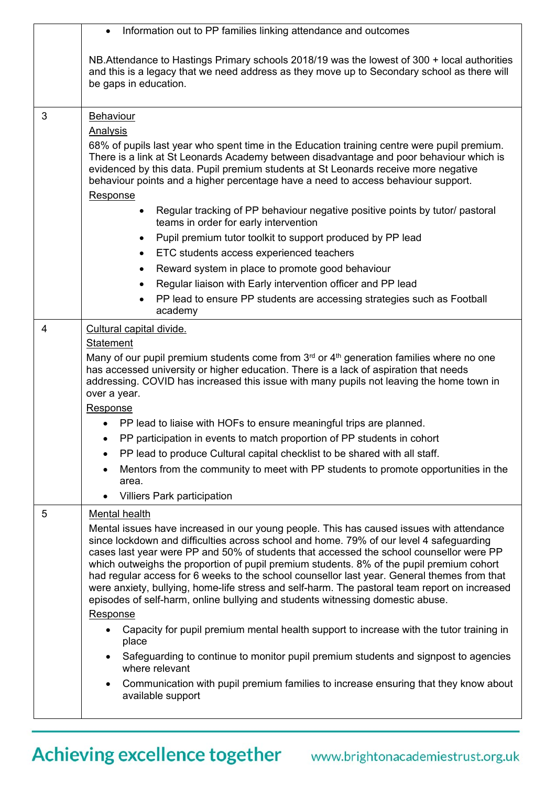|   | Information out to PP families linking attendance and outcomes                                                                                                                                                                                                                                                                                                                                                                                                                                                                                                                                                                                                                                                                                            |
|---|-----------------------------------------------------------------------------------------------------------------------------------------------------------------------------------------------------------------------------------------------------------------------------------------------------------------------------------------------------------------------------------------------------------------------------------------------------------------------------------------------------------------------------------------------------------------------------------------------------------------------------------------------------------------------------------------------------------------------------------------------------------|
|   | NB. Attendance to Hastings Primary schools 2018/19 was the lowest of 300 + local authorities<br>and this is a legacy that we need address as they move up to Secondary school as there will<br>be gaps in education.                                                                                                                                                                                                                                                                                                                                                                                                                                                                                                                                      |
| 3 | Behaviour<br><b>Analysis</b><br>68% of pupils last year who spent time in the Education training centre were pupil premium.<br>There is a link at St Leonards Academy between disadvantage and poor behaviour which is<br>evidenced by this data. Pupil premium students at St Leonards receive more negative<br>behaviour points and a higher percentage have a need to access behaviour support.<br>Response<br>Regular tracking of PP behaviour negative positive points by tutor/ pastoral<br>$\bullet$<br>teams in order for early intervention<br>Pupil premium tutor toolkit to support produced by PP lead<br>$\bullet$<br>ETC students access experienced teachers<br>$\bullet$<br>Reward system in place to promote good behaviour<br>$\bullet$ |
|   | Regular liaison with Early intervention officer and PP lead                                                                                                                                                                                                                                                                                                                                                                                                                                                                                                                                                                                                                                                                                               |
|   | PP lead to ensure PP students are accessing strategies such as Football<br>academy                                                                                                                                                                                                                                                                                                                                                                                                                                                                                                                                                                                                                                                                        |
| 4 | Cultural capital divide.<br>Statement<br>Many of our pupil premium students come from 3 <sup>rd</sup> or 4 <sup>th</sup> generation families where no one<br>has accessed university or higher education. There is a lack of aspiration that needs<br>addressing. COVID has increased this issue with many pupils not leaving the home town in<br>over a year.<br>Response<br>PP lead to liaise with HOFs to ensure meaningful trips are planned.<br>PP participation in events to match proportion of PP students in cohort<br>PP lead to produce Cultural capital checklist to be shared with all staff.<br>Mentors from the community to meet with PP students to promote opportunities in the<br>area.                                                |
|   | <b>Villiers Park participation</b>                                                                                                                                                                                                                                                                                                                                                                                                                                                                                                                                                                                                                                                                                                                        |
| 5 | Mental health<br>Mental issues have increased in our young people. This has caused issues with attendance<br>since lockdown and difficulties across school and home. 79% of our level 4 safeguarding<br>cases last year were PP and 50% of students that accessed the school counsellor were PP<br>which outweighs the proportion of pupil premium students. 8% of the pupil premium cohort<br>had regular access for 6 weeks to the school counsellor last year. General themes from that<br>were anxiety, bullying, home-life stress and self-harm. The pastoral team report on increased<br>episodes of self-harm, online bullying and students witnessing domestic abuse.<br>Response                                                                 |
|   | Capacity for pupil premium mental health support to increase with the tutor training in<br>$\bullet$<br>place<br>Safeguarding to continue to monitor pupil premium students and signpost to agencies                                                                                                                                                                                                                                                                                                                                                                                                                                                                                                                                                      |
|   | where relevant<br>Communication with pupil premium families to increase ensuring that they know about<br>available support                                                                                                                                                                                                                                                                                                                                                                                                                                                                                                                                                                                                                                |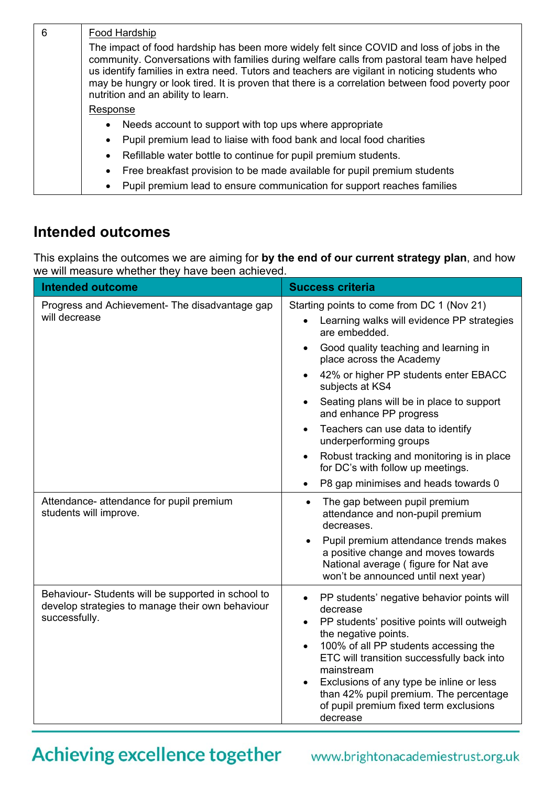| 6 | Food Hardship                                                                                                                                                                                                                                                                                                                                                                                                                     |  |  |  |  |
|---|-----------------------------------------------------------------------------------------------------------------------------------------------------------------------------------------------------------------------------------------------------------------------------------------------------------------------------------------------------------------------------------------------------------------------------------|--|--|--|--|
|   | The impact of food hardship has been more widely felt since COVID and loss of jobs in the<br>community. Conversations with families during welfare calls from pastoral team have helped<br>us identify families in extra need. Tutors and teachers are vigilant in noticing students who<br>may be hungry or look tired. It is proven that there is a correlation between food poverty poor<br>nutrition and an ability to learn. |  |  |  |  |
|   | Response                                                                                                                                                                                                                                                                                                                                                                                                                          |  |  |  |  |
|   | Needs account to support with top ups where appropriate<br>$\bullet$                                                                                                                                                                                                                                                                                                                                                              |  |  |  |  |
|   | Pupil premium lead to liaise with food bank and local food charities<br>$\bullet$                                                                                                                                                                                                                                                                                                                                                 |  |  |  |  |
|   | Refillable water bottle to continue for pupil premium students.<br>$\bullet$                                                                                                                                                                                                                                                                                                                                                      |  |  |  |  |
|   | Free breakfast provision to be made available for pupil premium students<br>$\bullet$                                                                                                                                                                                                                                                                                                                                             |  |  |  |  |
|   | Pupil premium lead to ensure communication for support reaches families<br>$\bullet$                                                                                                                                                                                                                                                                                                                                              |  |  |  |  |

## **Intended outcomes**

This explains the outcomes we are aiming for **by the end of our current strategy plan**, and how we will measure whether they have been achieved.

| <b>Intended outcome</b>                                                                                                 | <b>Success criteria</b>                                                                                                                                                                                                                                                                                                                                                                                  |
|-------------------------------------------------------------------------------------------------------------------------|----------------------------------------------------------------------------------------------------------------------------------------------------------------------------------------------------------------------------------------------------------------------------------------------------------------------------------------------------------------------------------------------------------|
| Progress and Achievement- The disadvantage gap<br>will decrease                                                         | Starting points to come from DC 1 (Nov 21)<br>Learning walks will evidence PP strategies<br>are embedded.                                                                                                                                                                                                                                                                                                |
|                                                                                                                         | Good quality teaching and learning in<br>$\bullet$<br>place across the Academy                                                                                                                                                                                                                                                                                                                           |
|                                                                                                                         | 42% or higher PP students enter EBACC<br>subjects at KS4                                                                                                                                                                                                                                                                                                                                                 |
|                                                                                                                         | Seating plans will be in place to support<br>$\bullet$<br>and enhance PP progress                                                                                                                                                                                                                                                                                                                        |
|                                                                                                                         | Teachers can use data to identify<br>$\bullet$<br>underperforming groups                                                                                                                                                                                                                                                                                                                                 |
|                                                                                                                         | Robust tracking and monitoring is in place<br>$\bullet$<br>for DC's with follow up meetings.                                                                                                                                                                                                                                                                                                             |
|                                                                                                                         | P8 gap minimises and heads towards 0<br>$\bullet$                                                                                                                                                                                                                                                                                                                                                        |
| Attendance- attendance for pupil premium<br>students will improve.                                                      | The gap between pupil premium<br>$\bullet$<br>attendance and non-pupil premium<br>decreases.                                                                                                                                                                                                                                                                                                             |
|                                                                                                                         | Pupil premium attendance trends makes<br>a positive change and moves towards<br>National average (figure for Nat ave<br>won't be announced until next year)                                                                                                                                                                                                                                              |
| Behaviour- Students will be supported in school to<br>develop strategies to manage their own behaviour<br>successfully. | PP students' negative behavior points will<br>$\bullet$<br>decrease<br>PP students' positive points will outweigh<br>$\bullet$<br>the negative points.<br>100% of all PP students accessing the<br>$\bullet$<br>ETC will transition successfully back into<br>mainstream<br>Exclusions of any type be inline or less<br>than 42% pupil premium. The percentage<br>of pupil premium fixed term exclusions |
|                                                                                                                         | decrease                                                                                                                                                                                                                                                                                                                                                                                                 |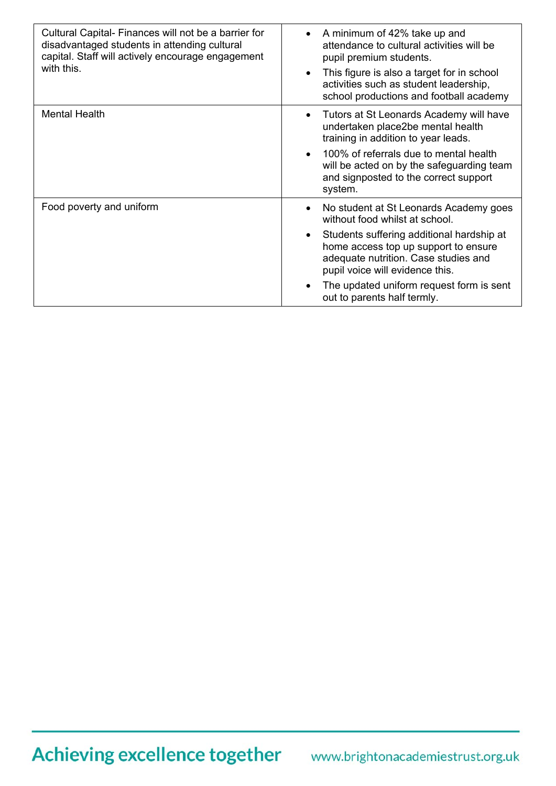| Cultural Capital- Finances will not be a barrier for<br>disadvantaged students in attending cultural<br>capital. Staff will actively encourage engagement<br>with this. | A minimum of 42% take up and<br>attendance to cultural activities will be<br>pupil premium students.<br>This figure is also a target for in school<br>activities such as student leadership,<br>school productions and football academy                                                                                          |
|-------------------------------------------------------------------------------------------------------------------------------------------------------------------------|----------------------------------------------------------------------------------------------------------------------------------------------------------------------------------------------------------------------------------------------------------------------------------------------------------------------------------|
| <b>Mental Health</b>                                                                                                                                                    | Tutors at St Leonards Academy will have<br>$\bullet$<br>undertaken place2be mental health<br>training in addition to year leads.<br>100% of referrals due to mental health<br>$\bullet$<br>will be acted on by the safeguarding team<br>and signposted to the correct support<br>system.                                         |
| Food poverty and uniform                                                                                                                                                | No student at St Leonards Academy goes<br>$\bullet$<br>without food whilst at school.<br>Students suffering additional hardship at<br>home access top up support to ensure<br>adequate nutrition. Case studies and<br>pupil voice will evidence this.<br>The updated uniform request form is sent<br>out to parents half termly. |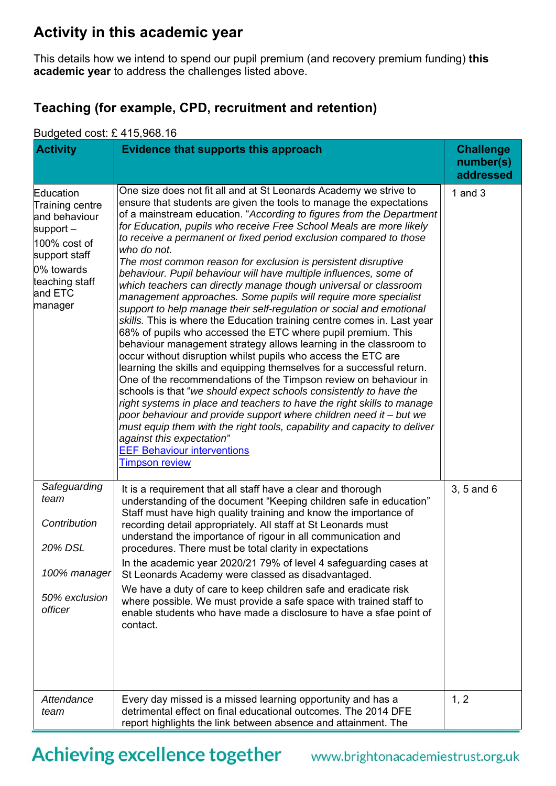## **Activity in this academic year**

This details how we intend to spend our pupil premium (and recovery premium funding) **this academic year** to address the challenges listed above.

### **Teaching (for example, CPD, recruitment and retention)**

#### Budgeted cost: £ 415,968.16

| <b>Activity</b>                                                                                                                                     | Evidence that supports this approach                                                                                                                                                                                                                                                                                                                                                                                                                                                                                                                                                                                                                                                                                                                                                                                                                                                                                                                                                                                                                                                                                                                                                                                                                                                                                                                                                                                                                                                                                                                          | <b>Challenge</b><br>number(s)<br>addressed |
|-----------------------------------------------------------------------------------------------------------------------------------------------------|---------------------------------------------------------------------------------------------------------------------------------------------------------------------------------------------------------------------------------------------------------------------------------------------------------------------------------------------------------------------------------------------------------------------------------------------------------------------------------------------------------------------------------------------------------------------------------------------------------------------------------------------------------------------------------------------------------------------------------------------------------------------------------------------------------------------------------------------------------------------------------------------------------------------------------------------------------------------------------------------------------------------------------------------------------------------------------------------------------------------------------------------------------------------------------------------------------------------------------------------------------------------------------------------------------------------------------------------------------------------------------------------------------------------------------------------------------------------------------------------------------------------------------------------------------------|--------------------------------------------|
| Education<br>Training centre<br>and behaviour<br>support $-$<br>100% cost of<br>support staff<br>0% towards<br>teaching staff<br>and ETC<br>manager | One size does not fit all and at St Leonards Academy we strive to<br>ensure that students are given the tools to manage the expectations<br>of a mainstream education. "According to figures from the Department<br>for Education, pupils who receive Free School Meals are more likely<br>to receive a permanent or fixed period exclusion compared to those<br>who do not.<br>The most common reason for exclusion is persistent disruptive<br>behaviour. Pupil behaviour will have multiple influences, some of<br>which teachers can directly manage though universal or classroom<br>management approaches. Some pupils will require more specialist<br>support to help manage their self-regulation or social and emotional<br>skills. This is where the Education training centre comes in. Last year<br>68% of pupils who accessed the ETC where pupil premium. This<br>behaviour management strategy allows learning in the classroom to<br>occur without disruption whilst pupils who access the ETC are<br>learning the skills and equipping themselves for a successful return.<br>One of the recommendations of the Timpson review on behaviour in<br>schools is that "we should expect schools consistently to have the<br>right systems in place and teachers to have the right skills to manage<br>poor behaviour and provide support where children need it - but we<br>must equip them with the right tools, capability and capacity to deliver<br>against this expectation"<br><b>EEF Behaviour interventions</b><br><b>Timpson review</b> | 1 and $3$                                  |
| Safeguarding<br>team<br>Contribution<br>20% DSL<br>100% manager<br>50% exclusion<br>officer                                                         | It is a requirement that all staff have a clear and thorough<br>understanding of the document "Keeping children safe in education"<br>Staff must have high quality training and know the importance of<br>recording detail appropriately. All staff at St Leonards must<br>understand the importance of rigour in all communication and<br>procedures. There must be total clarity in expectations<br>In the academic year 2020/21 79% of level 4 safeguarding cases at<br>St Leonards Academy were classed as disadvantaged.<br>We have a duty of care to keep children safe and eradicate risk<br>where possible. We must provide a safe space with trained staff to<br>enable students who have made a disclosure to have a sfae point of<br>contact.                                                                                                                                                                                                                                                                                                                                                                                                                                                                                                                                                                                                                                                                                                                                                                                                      | 3, 5 and 6                                 |
| Attendance<br>team                                                                                                                                  | Every day missed is a missed learning opportunity and has a<br>detrimental effect on final educational outcomes. The 2014 DFE<br>report highlights the link between absence and attainment. The                                                                                                                                                                                                                                                                                                                                                                                                                                                                                                                                                                                                                                                                                                                                                                                                                                                                                                                                                                                                                                                                                                                                                                                                                                                                                                                                                               | 1, 2                                       |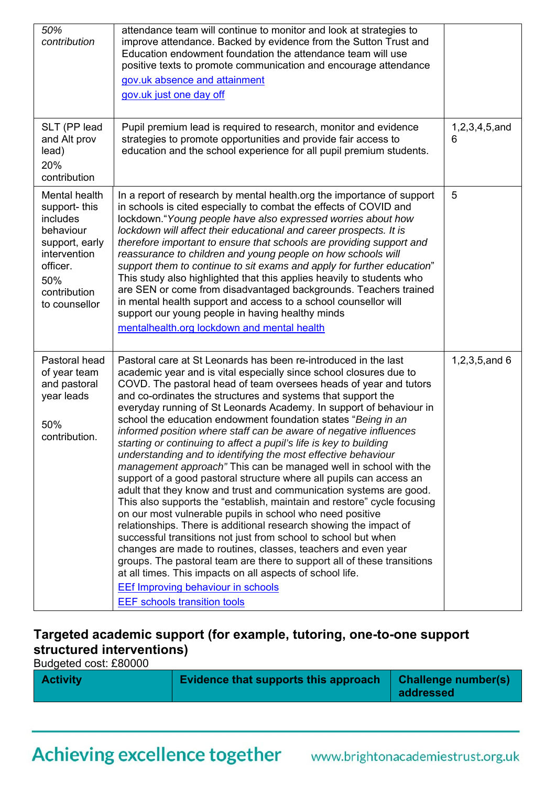| 50%<br>contribution                                                                                                                          | attendance team will continue to monitor and look at strategies to<br>improve attendance. Backed by evidence from the Sutton Trust and<br>Education endowment foundation the attendance team will use<br>positive texts to promote communication and encourage attendance<br>gov.uk absence and attainment<br>gov.uk just one day off                                                                                                                                                                                                                                                                                                                                                                                                                                                                                                                                                                                                                                                                                                                                                                                                                                                                                                                                                                                                                                                                                       |                    |
|----------------------------------------------------------------------------------------------------------------------------------------------|-----------------------------------------------------------------------------------------------------------------------------------------------------------------------------------------------------------------------------------------------------------------------------------------------------------------------------------------------------------------------------------------------------------------------------------------------------------------------------------------------------------------------------------------------------------------------------------------------------------------------------------------------------------------------------------------------------------------------------------------------------------------------------------------------------------------------------------------------------------------------------------------------------------------------------------------------------------------------------------------------------------------------------------------------------------------------------------------------------------------------------------------------------------------------------------------------------------------------------------------------------------------------------------------------------------------------------------------------------------------------------------------------------------------------------|--------------------|
| SLT (PP lead<br>and Alt prov<br>lead)<br>20%<br>contribution                                                                                 | Pupil premium lead is required to research, monitor and evidence<br>strategies to promote opportunities and provide fair access to<br>education and the school experience for all pupil premium students.                                                                                                                                                                                                                                                                                                                                                                                                                                                                                                                                                                                                                                                                                                                                                                                                                                                                                                                                                                                                                                                                                                                                                                                                                   | 1,2,3,4,5,and<br>6 |
| Mental health<br>support-this<br>includes<br>behaviour<br>support, early<br>intervention<br>officer.<br>50%<br>contribution<br>to counsellor | In a report of research by mental health.org the importance of support<br>in schools is cited especially to combat the effects of COVID and<br>lockdown." Young people have also expressed worries about how<br>lockdown will affect their educational and career prospects. It is<br>therefore important to ensure that schools are providing support and<br>reassurance to children and young people on how schools will<br>support them to continue to sit exams and apply for further education"<br>This study also highlighted that this applies heavily to students who<br>are SEN or come from disadvantaged backgrounds. Teachers trained<br>in mental health support and access to a school counsellor will<br>support our young people in having healthy minds<br>mentalhealth.org lockdown and mental health                                                                                                                                                                                                                                                                                                                                                                                                                                                                                                                                                                                                     | 5                  |
| Pastoral head<br>of year team<br>and pastoral<br>year leads<br>50%<br>contribution.                                                          | Pastoral care at St Leonards has been re-introduced in the last<br>academic year and is vital especially since school closures due to<br>COVD. The pastoral head of team oversees heads of year and tutors<br>and co-ordinates the structures and systems that support the<br>everyday running of St Leonards Academy. In support of behaviour in<br>school the education endowment foundation states "Being in an<br>informed position where staff can be aware of negative influences<br>starting or continuing to affect a pupil's life is key to building<br>understanding and to identifying the most effective behaviour<br>management approach" This can be managed well in school with the<br>support of a good pastoral structure where all pupils can access an<br>adult that they know and trust and communication systems are good.<br>This also supports the "establish, maintain and restore" cycle focusing<br>on our most vulnerable pupils in school who need positive<br>relationships. There is additional research showing the impact of<br>successful transitions not just from school to school but when<br>changes are made to routines, classes, teachers and even year<br>groups. The pastoral team are there to support all of these transitions<br>at all times. This impacts on all aspects of school life.<br><b>EEf Improving behaviour in schools</b><br><b>EEF</b> schools transition tools | 1,2,3,5, and 6     |

### **Targeted academic support (for example, tutoring, one-to-one support structured interventions)**

Budgeted cost: £80000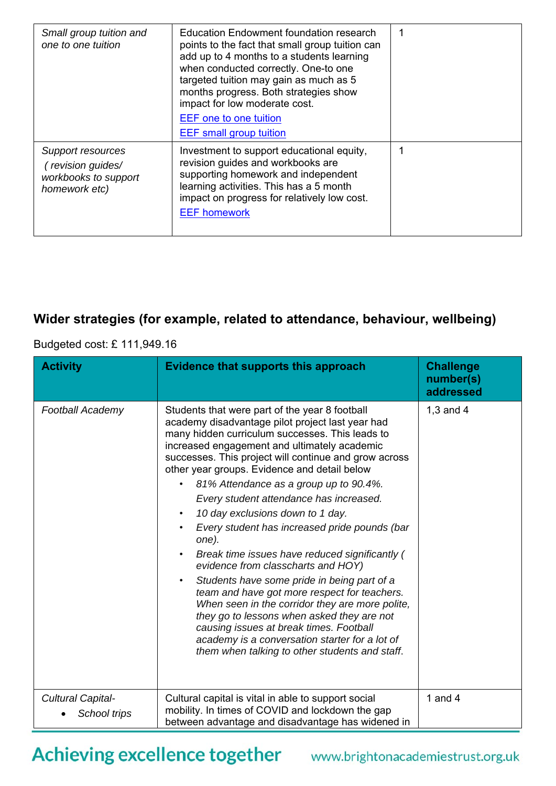| Small group tuition and<br>one to one tuition                                   | Education Endowment foundation research<br>points to the fact that small group tuition can<br>add up to 4 months to a students learning<br>when conducted correctly. One-to one<br>targeted tuition may gain as much as 5<br>months progress. Both strategies show<br>impact for low moderate cost.<br><b>EEF</b> one to one tuition<br><b>EEF</b> small group tuition | 1 |
|---------------------------------------------------------------------------------|------------------------------------------------------------------------------------------------------------------------------------------------------------------------------------------------------------------------------------------------------------------------------------------------------------------------------------------------------------------------|---|
| Support resources<br>(revision guides/<br>workbooks to support<br>homework etc) | Investment to support educational equity,<br>revision guides and workbooks are<br>supporting homework and independent<br>learning activities. This has a 5 month<br>impact on progress for relatively low cost.<br><b>EEF homework</b>                                                                                                                                 | 1 |

## **Wider strategies (for example, related to attendance, behaviour, wellbeing)**

### Budgeted cost: £ 111,949.16

| <b>Activity</b>                   | <b>Evidence that supports this approach</b>                                                                                                                                                                                                                                                                                                                                                                                                                                                                                                                                                                                                                                                                                                                                                                                                                                                                                                                        | <b>Challenge</b><br>number(s)<br>addressed |
|-----------------------------------|--------------------------------------------------------------------------------------------------------------------------------------------------------------------------------------------------------------------------------------------------------------------------------------------------------------------------------------------------------------------------------------------------------------------------------------------------------------------------------------------------------------------------------------------------------------------------------------------------------------------------------------------------------------------------------------------------------------------------------------------------------------------------------------------------------------------------------------------------------------------------------------------------------------------------------------------------------------------|--------------------------------------------|
| <b>Football Academy</b>           | Students that were part of the year 8 football<br>academy disadvantage pilot project last year had<br>many hidden curriculum successes. This leads to<br>increased engagement and ultimately academic<br>successes. This project will continue and grow across<br>other year groups. Evidence and detail below<br>81% Attendance as a group up to 90.4%.<br>Every student attendance has increased.<br>10 day exclusions down to 1 day.<br>$\bullet$<br>Every student has increased pride pounds (bar<br>one).<br>Break time issues have reduced significantly (<br>$\bullet$<br>evidence from classcharts and HOY)<br>Students have some pride in being part of a<br>team and have got more respect for teachers.<br>When seen in the corridor they are more polite,<br>they go to lessons when asked they are not<br>causing issues at break times. Football<br>academy is a conversation starter for a lot of<br>them when talking to other students and staff. | $1,3$ and $4$                              |
| Cultural Capital-<br>School trips | Cultural capital is vital in able to support social<br>mobility. In times of COVID and lockdown the gap<br>between advantage and disadvantage has widened in                                                                                                                                                                                                                                                                                                                                                                                                                                                                                                                                                                                                                                                                                                                                                                                                       | 1 and $4$                                  |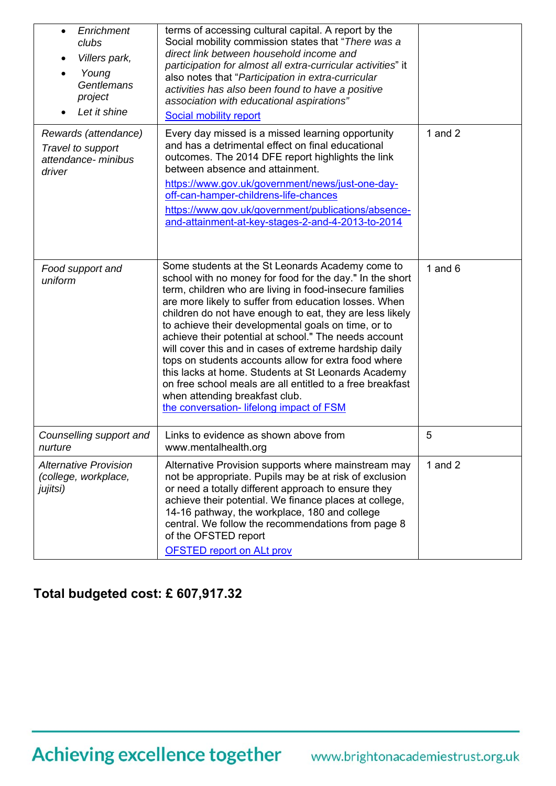| Enrichment<br>$\bullet$<br>clubs<br>Villers park,<br>Young<br>Gentlemans<br>project<br>Let it shine | terms of accessing cultural capital. A report by the<br>Social mobility commission states that "There was a<br>direct link between household income and<br>participation for almost all extra-curricular activities" it<br>also notes that "Participation in extra-curricular<br>activities has also been found to have a positive<br>association with educational aspirations"<br>Social mobility report                                                                                                                                                                                                                                                                                                                        |           |
|-----------------------------------------------------------------------------------------------------|----------------------------------------------------------------------------------------------------------------------------------------------------------------------------------------------------------------------------------------------------------------------------------------------------------------------------------------------------------------------------------------------------------------------------------------------------------------------------------------------------------------------------------------------------------------------------------------------------------------------------------------------------------------------------------------------------------------------------------|-----------|
| Rewards (attendance)<br>Travel to support<br>attendance- minibus<br>driver                          | Every day missed is a missed learning opportunity<br>and has a detrimental effect on final educational<br>outcomes. The 2014 DFE report highlights the link<br>between absence and attainment.<br>https://www.gov.uk/government/news/just-one-day-<br>off-can-hamper-childrens-life-chances<br>https://www.gov.uk/government/publications/absence-<br>and-attainment-at-key-stages-2-and-4-2013-to-2014                                                                                                                                                                                                                                                                                                                          | 1 and $2$ |
| Food support and<br>uniform                                                                         | Some students at the St Leonards Academy come to<br>school with no money for food for the day." In the short<br>term, children who are living in food-insecure families<br>are more likely to suffer from education losses. When<br>children do not have enough to eat, they are less likely<br>to achieve their developmental goals on time, or to<br>achieve their potential at school." The needs account<br>will cover this and in cases of extreme hardship daily<br>tops on students accounts allow for extra food where<br>this lacks at home. Students at St Leonards Academy<br>on free school meals are all entitled to a free breakfast<br>when attending breakfast club.<br>the conversation- lifelong impact of FSM | 1 and $6$ |
| Counselling support and<br>nurture                                                                  | Links to evidence as shown above from<br>www.mentalhealth.org                                                                                                                                                                                                                                                                                                                                                                                                                                                                                                                                                                                                                                                                    | 5         |
| <b>Alternative Provision</b><br>(college, workplace,<br>jujitsi)                                    | Alternative Provision supports where mainstream may<br>not be appropriate. Pupils may be at risk of exclusion<br>or need a totally different approach to ensure they<br>achieve their potential. We finance places at college,<br>14-16 pathway, the workplace, 180 and college<br>central. We follow the recommendations from page 8<br>of the OFSTED report<br><b>OFSTED report on ALt prov</b>                                                                                                                                                                                                                                                                                                                                | 1 and $2$ |

## **Total budgeted cost: £ 607,917.32**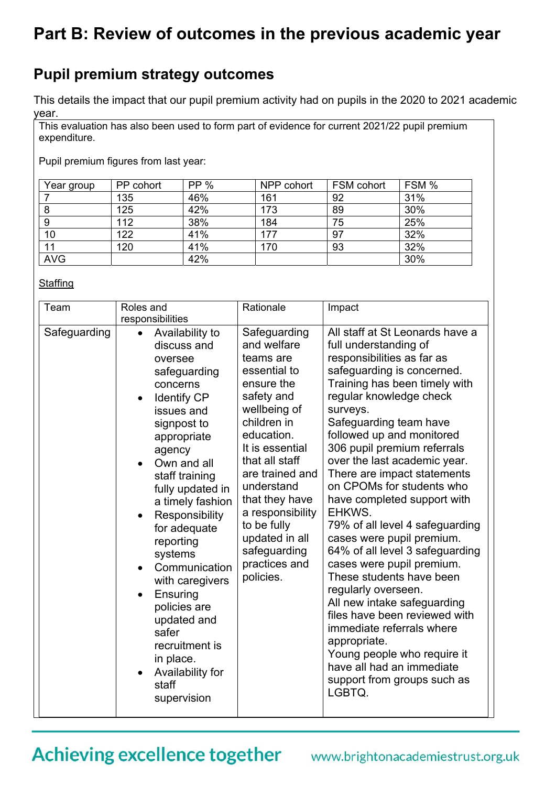## **Part B: Review of outcomes in the previous academic year**

## **Pupil premium strategy outcomes**

This details the impact that our pupil premium activity had on pupils in the 2020 to 2021 academic year.

This evaluation has also been used to form part of evidence for current 2021/22 pupil premium expenditure.

Pupil premium figures from last year:

| Year group | PP cohort | <b>PP</b> % | NPP cohort | FSM cohort | FSM % |
|------------|-----------|-------------|------------|------------|-------|
|            | 135       | 46%         | 161        | 92         | 31%   |
|            | 125       | 42%         | 173        | 89         | 30%   |
| 9          | 112       | 38%         | 184        | 75         | 25%   |
| 10         | 122       | 41%         | 177        | 97         | 32%   |
| 11         | 120       | 41%         | 170        | 93         | 32%   |
| <b>AVG</b> |           | 42%         |            |            | 30%   |

#### **Staffing**

| Team         | Roles and                                                                                                                                                                                                                                                                                                                                                                                                                                                                                | Rationale                                                                                                                                                                                                                                                                                                                    | Impact                                                                                                                                                                                                                                                                                                                                                                                                                                                                                                                                                                                                                                                                                                                                                                                                                       |
|--------------|------------------------------------------------------------------------------------------------------------------------------------------------------------------------------------------------------------------------------------------------------------------------------------------------------------------------------------------------------------------------------------------------------------------------------------------------------------------------------------------|------------------------------------------------------------------------------------------------------------------------------------------------------------------------------------------------------------------------------------------------------------------------------------------------------------------------------|------------------------------------------------------------------------------------------------------------------------------------------------------------------------------------------------------------------------------------------------------------------------------------------------------------------------------------------------------------------------------------------------------------------------------------------------------------------------------------------------------------------------------------------------------------------------------------------------------------------------------------------------------------------------------------------------------------------------------------------------------------------------------------------------------------------------------|
| Safeguarding | responsibilities<br>Availability to<br>$\bullet$<br>discuss and<br>oversee<br>safeguarding<br>concerns<br><b>Identify CP</b><br>issues and<br>signpost to<br>appropriate<br>agency<br>Own and all<br>staff training<br>fully updated in<br>a timely fashion<br>Responsibility<br>for adequate<br>reporting<br>systems<br>Communication<br>with caregivers<br>Ensuring<br>policies are<br>updated and<br>safer<br>recruitment is<br>in place.<br>Availability for<br>staff<br>supervision | Safeguarding<br>and welfare<br>teams are<br>essential to<br>ensure the<br>safety and<br>wellbeing of<br>children in<br>education.<br>It is essential<br>that all staff<br>are trained and<br>understand<br>that they have<br>a responsibility<br>to be fully<br>updated in all<br>safeguarding<br>practices and<br>policies. | All staff at St Leonards have a<br>full understanding of<br>responsibilities as far as<br>safeguarding is concerned.<br>Training has been timely with<br>regular knowledge check<br>surveys.<br>Safeguarding team have<br>followed up and monitored<br>306 pupil premium referrals<br>over the last academic year.<br>There are impact statements<br>on CPOMs for students who<br>have completed support with<br>EHKWS.<br>79% of all level 4 safeguarding<br>cases were pupil premium.<br>64% of all level 3 safeguarding<br>cases were pupil premium.<br>These students have been<br>regularly overseen.<br>All new intake safeguarding<br>files have been reviewed with<br>immediate referrals where<br>appropriate.<br>Young people who require it<br>have all had an immediate<br>support from groups such as<br>LGBTQ. |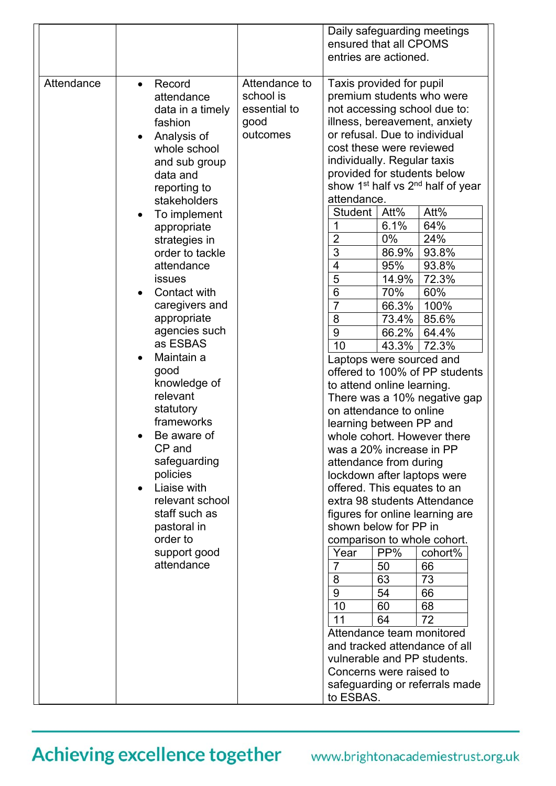|            |                                                                                                                                                                                                                                                                                                                                                                                                                                                                                                                                                                                     |                                                                | Daily safeguarding meetings<br>ensured that all CPOMS<br>entries are actioned.                                                                                                                                                                                                                                                                                                                                                                                                                                                                                                                                                                                                                                                                                                                                                                                                                                                                                                                                                                                                                                                                                                                                                                                                                                                                                             |
|------------|-------------------------------------------------------------------------------------------------------------------------------------------------------------------------------------------------------------------------------------------------------------------------------------------------------------------------------------------------------------------------------------------------------------------------------------------------------------------------------------------------------------------------------------------------------------------------------------|----------------------------------------------------------------|----------------------------------------------------------------------------------------------------------------------------------------------------------------------------------------------------------------------------------------------------------------------------------------------------------------------------------------------------------------------------------------------------------------------------------------------------------------------------------------------------------------------------------------------------------------------------------------------------------------------------------------------------------------------------------------------------------------------------------------------------------------------------------------------------------------------------------------------------------------------------------------------------------------------------------------------------------------------------------------------------------------------------------------------------------------------------------------------------------------------------------------------------------------------------------------------------------------------------------------------------------------------------------------------------------------------------------------------------------------------------|
| Attendance | Record<br>$\bullet$<br>attendance<br>data in a timely<br>fashion<br>Analysis of<br>whole school<br>and sub group<br>data and<br>reporting to<br>stakeholders<br>To implement<br>appropriate<br>strategies in<br>order to tackle<br>attendance<br>issues<br>Contact with<br>caregivers and<br>appropriate<br>agencies such<br>as ESBAS<br>Maintain a<br>good<br>knowledge of<br>relevant<br>statutory<br>frameworks<br>Be aware of<br>CP and<br>safeguarding<br>policies<br>Liaise with<br>relevant school<br>staff such as<br>pastoral in<br>order to<br>support good<br>attendance | Attendance to<br>school is<br>essential to<br>good<br>outcomes | Taxis provided for pupil<br>premium students who were<br>not accessing school due to:<br>illness, bereavement, anxiety<br>or refusal. Due to individual<br>cost these were reviewed<br>individually. Regular taxis<br>provided for students below<br>show 1 <sup>st</sup> half vs 2 <sup>nd</sup> half of year<br>attendance.<br>Att%<br>Att%<br>Student<br>64%<br>6.1%<br>$\overline{2}$<br>0%<br>24%<br>3<br>86.9%<br>93.8%<br>4<br>95%<br>93.8%<br>5<br>72.3%<br>14.9%<br>6<br>70%<br>60%<br>$\overline{7}$<br>66.3%<br>100%<br>85.6%<br>8<br>73.4%<br>9<br>66.2%<br>64.4%<br>72.3%<br>10<br>43.3%<br>Laptops were sourced and<br>offered to 100% of PP students<br>to attend online learning.<br>There was a 10% negative gap<br>on attendance to online<br>learning between PP and<br>whole cohort. However there<br>was a 20% increase in PP<br>attendance from during<br>lockdown after laptops were<br>offered. This equates to an<br>extra 98 students Attendance<br>figures for online learning are<br>shown below for PP in<br>comparison to whole cohort.<br>PP%<br>cohort%<br>Year<br>$\overline{7}$<br>50<br>66<br>63<br>8<br>73<br>9<br>54<br>66<br>10<br>60<br>68<br>11<br>64<br>72<br>Attendance team monitored<br>and tracked attendance of all<br>vulnerable and PP students.<br>Concerns were raised to<br>safeguarding or referrals made<br>to ESBAS. |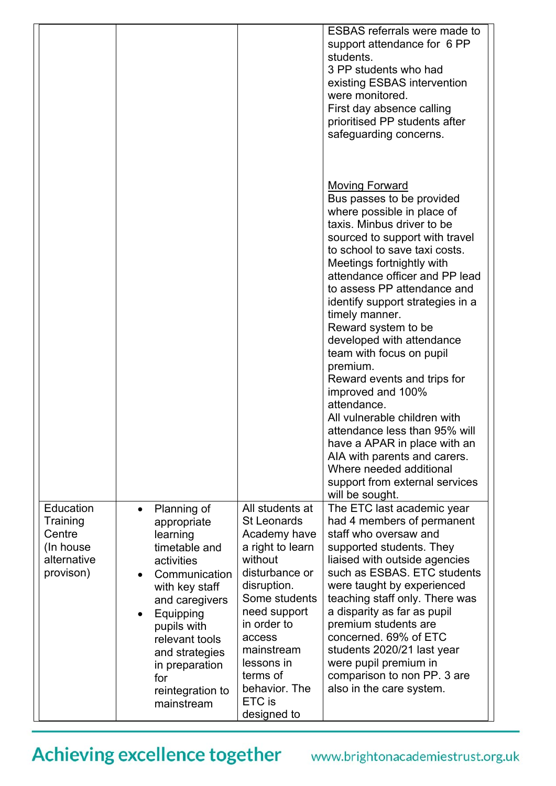|                                                                          |                                                                                                                                                                                                                                                                         |                                                                                                                                                                                                                                                                          | <b>ESBAS</b> referrals were made to<br>support attendance for 6 PP<br>students.<br>3 PP students who had<br>existing ESBAS intervention<br>were monitored.<br>First day absence calling<br>prioritised PP students after<br>safeguarding concerns.                                                                                                                                                                                                                                                                                                                                                                                                                                                                    |
|--------------------------------------------------------------------------|-------------------------------------------------------------------------------------------------------------------------------------------------------------------------------------------------------------------------------------------------------------------------|--------------------------------------------------------------------------------------------------------------------------------------------------------------------------------------------------------------------------------------------------------------------------|-----------------------------------------------------------------------------------------------------------------------------------------------------------------------------------------------------------------------------------------------------------------------------------------------------------------------------------------------------------------------------------------------------------------------------------------------------------------------------------------------------------------------------------------------------------------------------------------------------------------------------------------------------------------------------------------------------------------------|
|                                                                          |                                                                                                                                                                                                                                                                         |                                                                                                                                                                                                                                                                          | <b>Moving Forward</b><br>Bus passes to be provided<br>where possible in place of<br>taxis. Minbus driver to be<br>sourced to support with travel<br>to school to save taxi costs.<br>Meetings fortnightly with<br>attendance officer and PP lead<br>to assess PP attendance and<br>identify support strategies in a<br>timely manner.<br>Reward system to be<br>developed with attendance<br>team with focus on pupil<br>premium.<br>Reward events and trips for<br>improved and 100%<br>attendance.<br>All vulnerable children with<br>attendance less than 95% will<br>have a APAR in place with an<br>AIA with parents and carers.<br>Where needed additional<br>support from external services<br>will be sought. |
| Education<br>Training<br>Centre<br>(In house<br>alternative<br>provison) | Planning of<br>$\bullet$<br>appropriate<br>learning<br>timetable and<br>activities<br>Communication<br>with key staff<br>and caregivers<br>Equipping<br>٠<br>pupils with<br>relevant tools<br>and strategies<br>in preparation<br>for<br>reintegration to<br>mainstream | All students at<br><b>St Leonards</b><br>Academy have<br>a right to learn<br>without<br>disturbance or<br>disruption.<br>Some students<br>need support<br>in order to<br>access<br>mainstream<br>lessons in<br>terms of<br>behavior. The<br><b>ETC</b> is<br>designed to | The ETC last academic year<br>had 4 members of permanent<br>staff who oversaw and<br>supported students. They<br>liaised with outside agencies<br>such as ESBAS. ETC students<br>were taught by experienced<br>teaching staff only. There was<br>a disparity as far as pupil<br>premium students are<br>concerned. 69% of ETC<br>students 2020/21 last year<br>were pupil premium in<br>comparison to non PP. 3 are<br>also in the care system.                                                                                                                                                                                                                                                                       |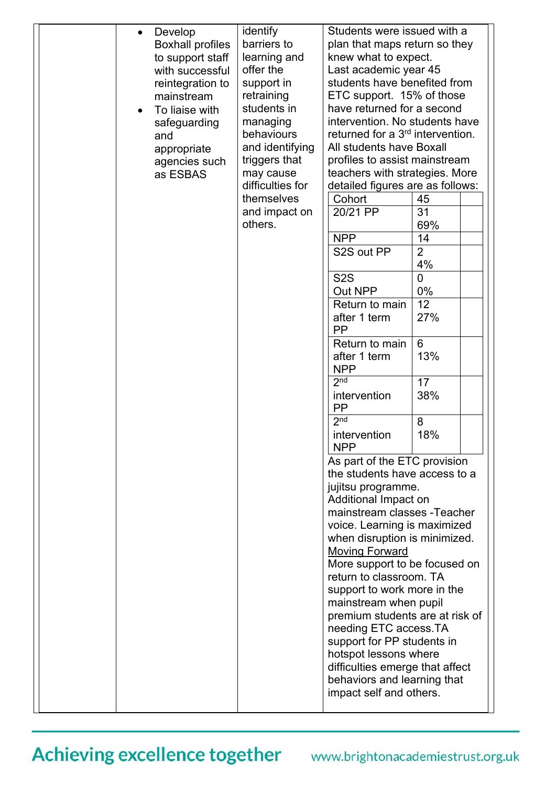| retraining<br>ETC support. 15% of those<br>mainstream<br>students in<br>have returned for a second<br>To liaise with<br>intervention. No students have<br>managing<br>safeguarding<br>returned for a 3 <sup>rd</sup> intervention.<br>behaviours<br>and<br>All students have Boxall<br>and identifying<br>appropriate<br>triggers that<br>profiles to assist mainstream<br>agencies such<br>teachers with strategies. More<br>may cause<br>as ESBAS<br>difficulties for<br>detailed figures are as follows:<br>themselves<br>45<br>Cohort<br>31<br>and impact on<br>20/21 PP<br>others.<br>69%<br><b>NPP</b><br>14<br>$\overline{2}$<br>S2S out PP<br>4%<br>S <sub>2</sub> S<br>$\overline{0}$<br>0%<br>Out NPP<br>12<br>Return to main<br>27%<br>after 1 term<br><b>PP</b><br>6<br>Return to main<br>13%<br>after 1 term<br><b>NPP</b><br>2 <sup>nd</sup><br>17<br>intervention<br>38%<br><b>PP</b><br>2 <sup>nd</sup><br>8<br>18%<br>intervention<br><b>NPP</b><br>As part of the ETC provision<br>the students have access to a<br>jujitsu programme.<br>Additional Impact on<br>mainstream classes - Teacher<br>voice. Learning is maximized<br>when disruption is minimized.<br><b>Moving Forward</b><br>More support to be focused on<br>return to classroom. TA<br>support to work more in the<br>mainstream when pupil<br>premium students are at risk of<br>needing ETC access.TA<br>support for PP students in<br>hotspot lessons where<br>difficulties emerge that affect<br>behaviors and learning that<br>impact self and others. |  | Develop<br>$\bullet$<br><b>Boxhall profiles</b><br>to support staff<br>with successful<br>reintegration to | identify<br>barriers to<br>learning and<br>offer the<br>support in | Students were issued with a<br>plan that maps return so they<br>knew what to expect.<br>Last academic year 45<br>students have benefited from |  |  |
|------------------------------------------------------------------------------------------------------------------------------------------------------------------------------------------------------------------------------------------------------------------------------------------------------------------------------------------------------------------------------------------------------------------------------------------------------------------------------------------------------------------------------------------------------------------------------------------------------------------------------------------------------------------------------------------------------------------------------------------------------------------------------------------------------------------------------------------------------------------------------------------------------------------------------------------------------------------------------------------------------------------------------------------------------------------------------------------------------------------------------------------------------------------------------------------------------------------------------------------------------------------------------------------------------------------------------------------------------------------------------------------------------------------------------------------------------------------------------------------------------------------------------------------------|--|------------------------------------------------------------------------------------------------------------|--------------------------------------------------------------------|-----------------------------------------------------------------------------------------------------------------------------------------------|--|--|
|------------------------------------------------------------------------------------------------------------------------------------------------------------------------------------------------------------------------------------------------------------------------------------------------------------------------------------------------------------------------------------------------------------------------------------------------------------------------------------------------------------------------------------------------------------------------------------------------------------------------------------------------------------------------------------------------------------------------------------------------------------------------------------------------------------------------------------------------------------------------------------------------------------------------------------------------------------------------------------------------------------------------------------------------------------------------------------------------------------------------------------------------------------------------------------------------------------------------------------------------------------------------------------------------------------------------------------------------------------------------------------------------------------------------------------------------------------------------------------------------------------------------------------------------|--|------------------------------------------------------------------------------------------------------------|--------------------------------------------------------------------|-----------------------------------------------------------------------------------------------------------------------------------------------|--|--|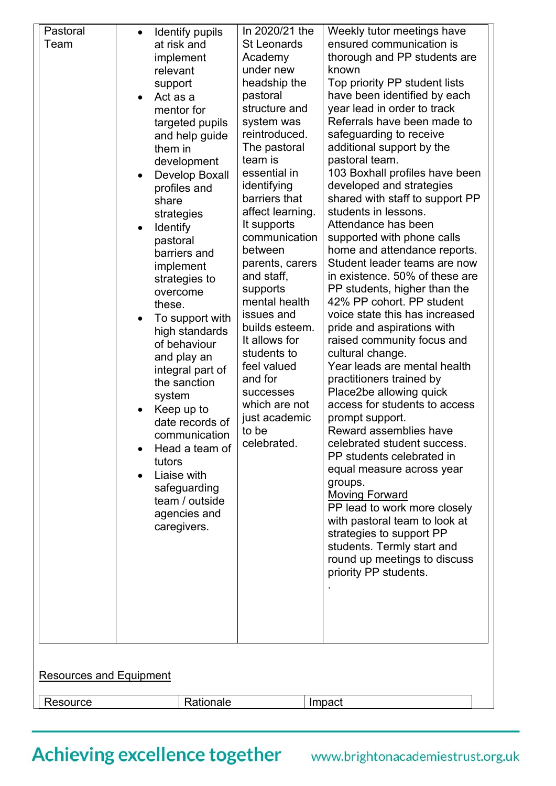| Pastoral<br>Team               | Identify pupils<br>at risk and<br>implement<br>relevant<br>support<br>Act as a<br>mentor for<br>targeted pupils<br>and help guide<br>them in<br>development<br>Develop Boxall<br>profiles and<br>share<br>strategies<br><b>Identify</b><br>pastoral<br>barriers and<br>implement<br>strategies to<br>overcome<br>these.<br>To support with<br>high standards<br>of behaviour<br>and play an<br>integral part of<br>the sanction<br>system<br>Keep up to<br>date records of<br>communication<br>Head a team of<br>tutors<br>Liaise with<br>safeguarding<br>team / outside<br>agencies and<br>caregivers. | In 2020/21 the<br><b>St Leonards</b><br>Academy<br>under new<br>headship the<br>pastoral<br>structure and<br>system was<br>reintroduced.<br>The pastoral<br>team is<br>essential in<br>identifying<br>barriers that<br>affect learning.<br>It supports<br>communication<br>between<br>parents, carers<br>and staff,<br>supports<br>mental health<br>issues and<br>builds esteem.<br>It allows for<br>students to<br>feel valued<br>and for<br><b>successes</b><br>which are not<br>just academic<br>to be<br>celebrated. | Weekly tutor meetings have<br>ensured communication is<br>thorough and PP students are<br>known<br>Top priority PP student lists<br>have been identified by each<br>year lead in order to track<br>Referrals have been made to<br>safeguarding to receive<br>additional support by the<br>pastoral team.<br>103 Boxhall profiles have been<br>developed and strategies<br>shared with staff to support PP<br>students in lessons.<br>Attendance has been<br>supported with phone calls<br>home and attendance reports.<br>Student leader teams are now<br>in existence. 50% of these are<br>PP students, higher than the<br>42% PP cohort. PP student<br>voice state this has increased<br>pride and aspirations with<br>raised community focus and<br>cultural change.<br>Year leads are mental health<br>practitioners trained by<br>Place2be allowing quick<br>access for students to access<br>prompt support.<br>Reward assemblies have<br>celebrated student success.<br>PP students celebrated in<br>equal measure across year<br>groups.<br><b>Moving Forward</b><br>PP lead to work more closely<br>with pastoral team to look at<br>strategies to support PP<br>students. Termly start and<br>round up meetings to discuss<br>priority PP students. |  |
|--------------------------------|---------------------------------------------------------------------------------------------------------------------------------------------------------------------------------------------------------------------------------------------------------------------------------------------------------------------------------------------------------------------------------------------------------------------------------------------------------------------------------------------------------------------------------------------------------------------------------------------------------|--------------------------------------------------------------------------------------------------------------------------------------------------------------------------------------------------------------------------------------------------------------------------------------------------------------------------------------------------------------------------------------------------------------------------------------------------------------------------------------------------------------------------|---------------------------------------------------------------------------------------------------------------------------------------------------------------------------------------------------------------------------------------------------------------------------------------------------------------------------------------------------------------------------------------------------------------------------------------------------------------------------------------------------------------------------------------------------------------------------------------------------------------------------------------------------------------------------------------------------------------------------------------------------------------------------------------------------------------------------------------------------------------------------------------------------------------------------------------------------------------------------------------------------------------------------------------------------------------------------------------------------------------------------------------------------------------------------------------------------------------------------------------------------------------|--|
| <b>Resources and Equipment</b> |                                                                                                                                                                                                                                                                                                                                                                                                                                                                                                                                                                                                         |                                                                                                                                                                                                                                                                                                                                                                                                                                                                                                                          |                                                                                                                                                                                                                                                                                                                                                                                                                                                                                                                                                                                                                                                                                                                                                                                                                                                                                                                                                                                                                                                                                                                                                                                                                                                               |  |
| Resource                       | Rationale                                                                                                                                                                                                                                                                                                                                                                                                                                                                                                                                                                                               |                                                                                                                                                                                                                                                                                                                                                                                                                                                                                                                          | Impact                                                                                                                                                                                                                                                                                                                                                                                                                                                                                                                                                                                                                                                                                                                                                                                                                                                                                                                                                                                                                                                                                                                                                                                                                                                        |  |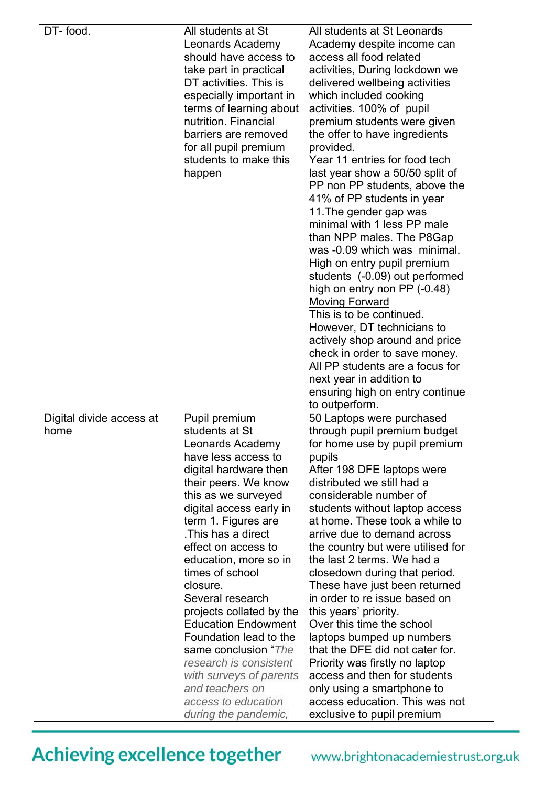| DT-food.                 | All students at St                              | All students at St Leonards                                  |  |
|--------------------------|-------------------------------------------------|--------------------------------------------------------------|--|
|                          | Leonards Academy                                | Academy despite income can                                   |  |
|                          | should have access to                           | access all food related                                      |  |
|                          | take part in practical                          | activities, During lockdown we                               |  |
|                          | DT activities. This is                          | delivered wellbeing activities                               |  |
|                          | especially important in                         | which included cooking                                       |  |
|                          |                                                 |                                                              |  |
|                          | terms of learning about<br>nutrition. Financial | activities. 100% of pupil                                    |  |
|                          |                                                 | premium students were given                                  |  |
|                          | barriers are removed                            | the offer to have ingredients                                |  |
|                          | for all pupil premium                           | provided.                                                    |  |
|                          | students to make this                           | Year 11 entries for food tech                                |  |
|                          | happen                                          | last year show a 50/50 split of                              |  |
|                          |                                                 | PP non PP students, above the                                |  |
|                          |                                                 | 41% of PP students in year                                   |  |
|                          |                                                 | 11. The gender gap was                                       |  |
|                          |                                                 | minimal with 1 less PP male                                  |  |
|                          |                                                 | than NPP males. The P8Gap                                    |  |
|                          |                                                 | was -0.09 which was minimal.                                 |  |
|                          |                                                 | High on entry pupil premium                                  |  |
|                          |                                                 | students (-0.09) out performed                               |  |
|                          |                                                 | high on entry non PP (-0.48)                                 |  |
|                          |                                                 | <b>Moving Forward</b>                                        |  |
|                          |                                                 | This is to be continued.                                     |  |
|                          |                                                 | However, DT technicians to                                   |  |
|                          |                                                 | actively shop around and price                               |  |
|                          |                                                 | check in order to save money.                                |  |
|                          |                                                 | All PP students are a focus for                              |  |
|                          |                                                 | next year in addition to                                     |  |
|                          |                                                 | ensuring high on entry continue                              |  |
|                          |                                                 | to outperform.                                               |  |
| Digital divide access at | Pupil premium                                   | 50 Laptops were purchased                                    |  |
| home                     | students at St                                  | through pupil premium budget                                 |  |
|                          | Leonards Academy                                | for home use by pupil premium                                |  |
|                          | have less access to                             | pupils                                                       |  |
|                          | digital hardware then                           | After 198 DFE laptops were                                   |  |
|                          | their peers. We know                            | distributed we still had a                                   |  |
|                          | this as we surveyed                             | considerable number of                                       |  |
|                          | digital access early in                         | students without laptop access                               |  |
|                          | term 1. Figures are                             | at home. These took a while to                               |  |
|                          | This has a direct                               | arrive due to demand across                                  |  |
|                          | effect on access to                             | the country but were utilised for                            |  |
|                          | education, more so in                           | the last 2 terms. We had a                                   |  |
|                          | times of school                                 | closedown during that period.                                |  |
|                          | closure.                                        | These have just been returned                                |  |
|                          | Several research                                | in order to re issue based on                                |  |
|                          | projects collated by the                        | this years' priority.                                        |  |
|                          | <b>Education Endowment</b>                      | Over this time the school                                    |  |
|                          | Foundation lead to the                          | laptops bumped up numbers                                    |  |
|                          | same conclusion "The                            | that the DFE did not cater for.                              |  |
|                          | research is consistent                          | Priority was firstly no laptop                               |  |
|                          | with surveys of parents                         | access and then for students                                 |  |
|                          | and teachers on                                 |                                                              |  |
|                          | access to education                             | only using a smartphone to<br>access education. This was not |  |
|                          |                                                 |                                                              |  |
|                          | during the pandemic,                            | exclusive to pupil premium                                   |  |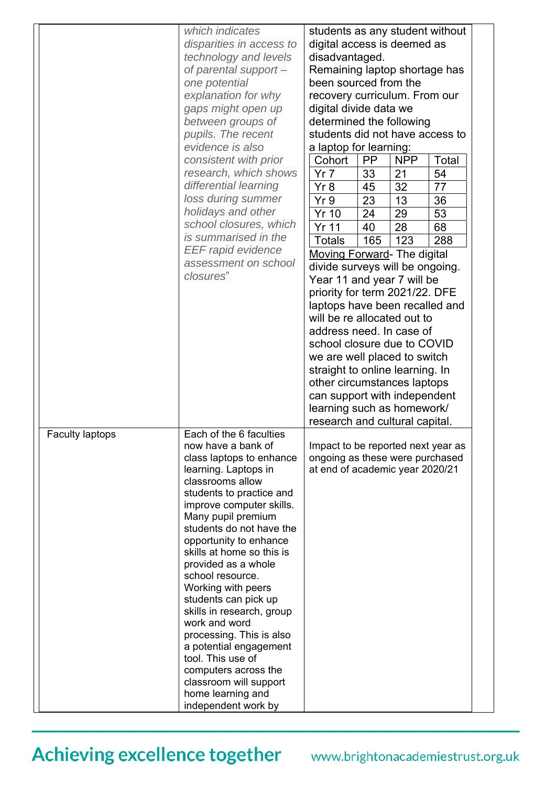|                        | which indicates<br>disparities in access to<br>technology and levels<br>of parental support -<br>one potential<br>explanation for why<br>gaps might open up<br>between groups of<br>pupils. The recent<br>evidence is also<br>consistent with prior<br>research, which shows<br>differential learning<br>loss during summer<br>holidays and other<br>school closures, which<br>is summarised in the<br><b>EEF rapid evidence</b><br>assessment on school<br>closures"                                                                                                                                  | students as any student without<br>digital access is deemed as<br>disadvantaged.<br>Remaining laptop shortage has<br>been sourced from the<br>recovery curriculum. From our<br>digital divide data we<br>determined the following<br>students did not have access to<br>a laptop for learning:<br><b>PP</b><br><b>NPP</b><br>Total<br>Cohort<br>54<br>Yr <sub>7</sub><br>33<br>21<br>77<br>32<br>Yr8<br>45<br>23<br>Yr9<br>36<br>13<br>53<br>24<br>29<br><b>Yr 10</b><br><b>Yr 11</b><br>40<br>28<br>68<br>165<br>123<br>288<br><b>Totals</b><br><b>Moving Forward- The digital</b><br>divide surveys will be ongoing.<br>Year 11 and year 7 will be<br>priority for term 2021/22. DFE<br>laptops have been recalled and<br>will be re allocated out to<br>address need. In case of<br>school closure due to COVID<br>we are well placed to switch<br>straight to online learning. In<br>other circumstances laptops<br>can support with independent<br>learning such as homework/<br>research and cultural capital. |
|------------------------|--------------------------------------------------------------------------------------------------------------------------------------------------------------------------------------------------------------------------------------------------------------------------------------------------------------------------------------------------------------------------------------------------------------------------------------------------------------------------------------------------------------------------------------------------------------------------------------------------------|----------------------------------------------------------------------------------------------------------------------------------------------------------------------------------------------------------------------------------------------------------------------------------------------------------------------------------------------------------------------------------------------------------------------------------------------------------------------------------------------------------------------------------------------------------------------------------------------------------------------------------------------------------------------------------------------------------------------------------------------------------------------------------------------------------------------------------------------------------------------------------------------------------------------------------------------------------------------------------------------------------------------|
| <b>Faculty laptops</b> | Each of the 6 faculties<br>now have a bank of<br>class laptops to enhance<br>learning. Laptops in<br>classrooms allow<br>students to practice and<br>improve computer skills.<br>Many pupil premium<br>students do not have the<br>opportunity to enhance<br>skills at home so this is<br>provided as a whole<br>school resource.<br>Working with peers<br>students can pick up<br>skills in research, group<br>work and word<br>processing. This is also<br>a potential engagement<br>tool. This use of<br>computers across the<br>classroom will support<br>home learning and<br>independent work by | Impact to be reported next year as<br>ongoing as these were purchased<br>at end of academic year 2020/21                                                                                                                                                                                                                                                                                                                                                                                                                                                                                                                                                                                                                                                                                                                                                                                                                                                                                                             |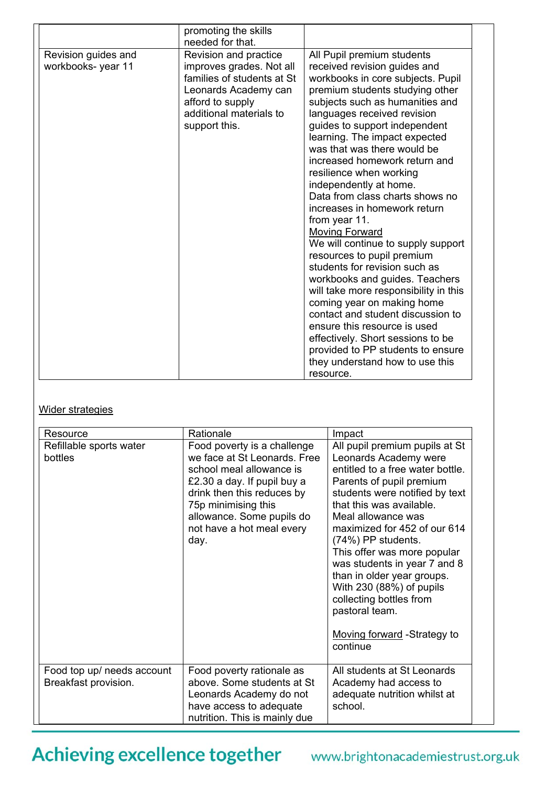|                                           | promoting the skills<br>needed for that.                                                                                                                                |                                                                                                                                                                                                                                                                                                                                                                                                                                                                                                                                                                                                                                                                                                                                                                                                                                                                                                                       |
|-------------------------------------------|-------------------------------------------------------------------------------------------------------------------------------------------------------------------------|-----------------------------------------------------------------------------------------------------------------------------------------------------------------------------------------------------------------------------------------------------------------------------------------------------------------------------------------------------------------------------------------------------------------------------------------------------------------------------------------------------------------------------------------------------------------------------------------------------------------------------------------------------------------------------------------------------------------------------------------------------------------------------------------------------------------------------------------------------------------------------------------------------------------------|
| Revision guides and<br>workbooks- year 11 | Revision and practice<br>improves grades. Not all<br>families of students at St<br>Leonards Academy can<br>afford to supply<br>additional materials to<br>support this. | All Pupil premium students<br>received revision guides and<br>workbooks in core subjects. Pupil<br>premium students studying other<br>subjects such as humanities and<br>languages received revision<br>guides to support independent<br>learning. The impact expected<br>was that was there would be<br>increased homework return and<br>resilience when working<br>independently at home.<br>Data from class charts shows no<br>increases in homework return<br>from year 11.<br><b>Moving Forward</b><br>We will continue to supply support<br>resources to pupil premium<br>students for revision such as<br>workbooks and guides. Teachers<br>will take more responsibility in this<br>coming year on making home<br>contact and student discussion to<br>ensure this resource is used<br>effectively. Short sessions to be<br>provided to PP students to ensure<br>they understand how to use this<br>resource. |

#### Wider strategies

| Resource                                           | Rationale                                                                                                                                                                                                                                     | Impact                                                                                                                                                                                                                                                                                                                                                                                                                                                                             |
|----------------------------------------------------|-----------------------------------------------------------------------------------------------------------------------------------------------------------------------------------------------------------------------------------------------|------------------------------------------------------------------------------------------------------------------------------------------------------------------------------------------------------------------------------------------------------------------------------------------------------------------------------------------------------------------------------------------------------------------------------------------------------------------------------------|
| Refillable sports water<br>bottles                 | Food poverty is a challenge<br>we face at St Leonards. Free<br>school meal allowance is<br>£2.30 a day. If pupil buy a<br>drink then this reduces by<br>75p minimising this<br>allowance. Some pupils do<br>not have a hot meal every<br>day. | All pupil premium pupils at St<br>Leonards Academy were<br>entitled to a free water bottle.<br>Parents of pupil premium<br>students were notified by text<br>that this was available.<br>Meal allowance was<br>maximized for 452 of our 614<br>(74%) PP students.<br>This offer was more popular<br>was students in year 7 and 8<br>than in older year groups.<br>With 230 (88%) of pupils<br>collecting bottles from<br>pastoral team.<br>Moving forward -Strategy to<br>continue |
| Food top up/ needs account<br>Breakfast provision. | Food poverty rationale as<br>above. Some students at St<br>Leonards Academy do not<br>have access to adequate<br>nutrition. This is mainly due                                                                                                | All students at St Leonards<br>Academy had access to<br>adequate nutrition whilst at<br>school.                                                                                                                                                                                                                                                                                                                                                                                    |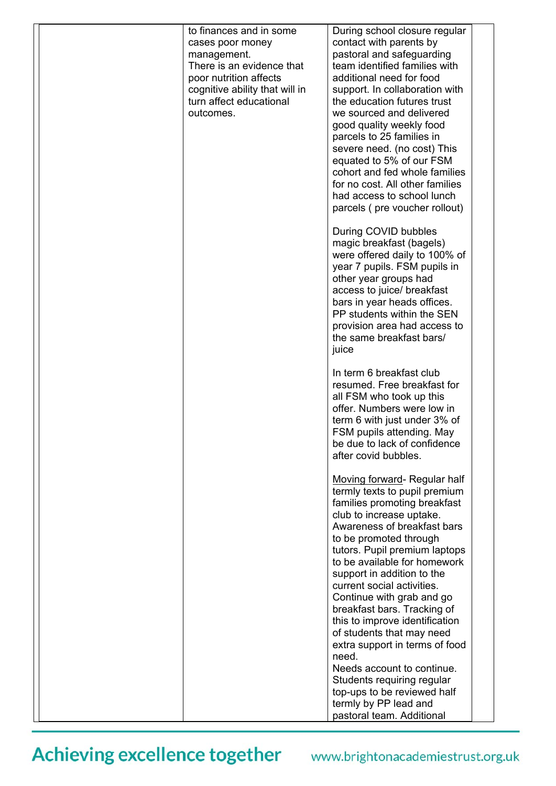|  | to finances and in some<br>cases poor money<br>management.<br>There is an evidence that<br>poor nutrition affects<br>cognitive ability that will in<br>turn affect educational<br>outcomes. | During school closure regular<br>contact with parents by<br>pastoral and safeguarding<br>team identified families with<br>additional need for food<br>support. In collaboration with<br>the education futures trust<br>we sourced and delivered<br>good quality weekly food<br>parcels to 25 families in<br>severe need. (no cost) This<br>equated to 5% of our FSM<br>cohort and fed whole families<br>for no cost. All other families<br>had access to school lunch<br>parcels (pre voucher rollout)              |  |
|--|---------------------------------------------------------------------------------------------------------------------------------------------------------------------------------------------|---------------------------------------------------------------------------------------------------------------------------------------------------------------------------------------------------------------------------------------------------------------------------------------------------------------------------------------------------------------------------------------------------------------------------------------------------------------------------------------------------------------------|--|
|  |                                                                                                                                                                                             | During COVID bubbles<br>magic breakfast (bagels)<br>were offered daily to 100% of<br>year 7 pupils. FSM pupils in<br>other year groups had<br>access to juice/ breakfast<br>bars in year heads offices.<br>PP students within the SEN<br>provision area had access to<br>the same breakfast bars/<br>juice                                                                                                                                                                                                          |  |
|  |                                                                                                                                                                                             | In term 6 breakfast club<br>resumed. Free breakfast for<br>all FSM who took up this<br>offer. Numbers were low in<br>term 6 with just under 3% of<br>FSM pupils attending. May<br>be due to lack of confidence<br>after covid bubbles.                                                                                                                                                                                                                                                                              |  |
|  |                                                                                                                                                                                             | Moving forward- Regular half<br>termly texts to pupil premium<br>families promoting breakfast<br>club to increase uptake.<br>Awareness of breakfast bars<br>to be promoted through<br>tutors. Pupil premium laptops<br>to be available for homework<br>support in addition to the<br>current social activities.<br>Continue with grab and go<br>breakfast bars. Tracking of<br>this to improve identification<br>of students that may need<br>extra support in terms of food<br>need.<br>Needs account to continue. |  |
|  |                                                                                                                                                                                             | Students requiring regular<br>top-ups to be reviewed half<br>termly by PP lead and<br>pastoral team. Additional                                                                                                                                                                                                                                                                                                                                                                                                     |  |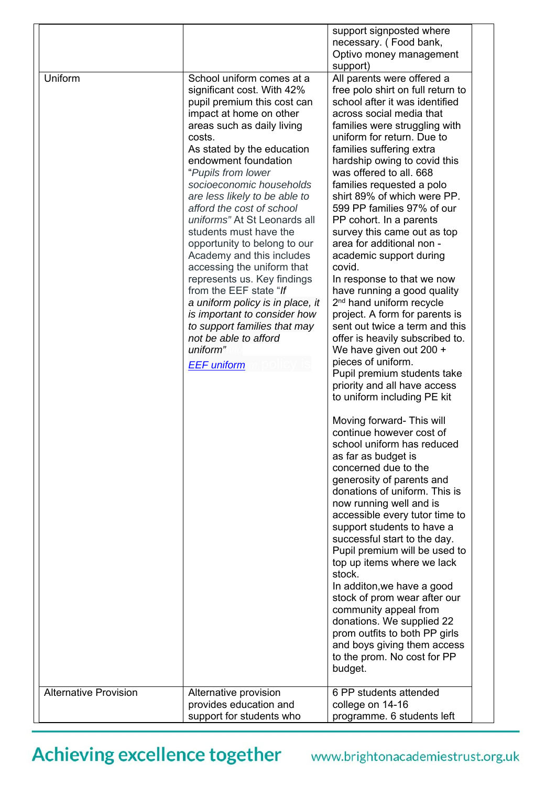| Uniform                      | School uniform comes at a<br>significant cost. With 42%<br>pupil premium this cost can<br>impact at home on other<br>areas such as daily living<br>costs.<br>As stated by the education<br>endowment foundation<br>"Pupils from lower<br>socioeconomic households<br>are less likely to be able to                                                                                                     | support signposted where<br>necessary. (Food bank,<br>Optivo money management<br>support)<br>All parents were offered a<br>free polo shirt on full return to<br>school after it was identified<br>across social media that<br>families were struggling with<br>uniform for return. Due to<br>families suffering extra<br>hardship owing to covid this<br>was offered to all. 668<br>families requested a polo<br>shirt 89% of which were PP.                                                                                                                                                                                       |
|------------------------------|--------------------------------------------------------------------------------------------------------------------------------------------------------------------------------------------------------------------------------------------------------------------------------------------------------------------------------------------------------------------------------------------------------|------------------------------------------------------------------------------------------------------------------------------------------------------------------------------------------------------------------------------------------------------------------------------------------------------------------------------------------------------------------------------------------------------------------------------------------------------------------------------------------------------------------------------------------------------------------------------------------------------------------------------------|
|                              | afford the cost of school<br>uniforms" At St Leonards all<br>students must have the<br>opportunity to belong to our<br>Academy and this includes<br>accessing the uniform that<br>represents us. Key findings<br>from the EEF state "If<br>a uniform policy is in place, it<br>is important to consider how<br>to support families that may<br>not be able to afford<br>uniform"<br><b>EEF</b> uniform | 599 PP families 97% of our<br>PP cohort. In a parents<br>survey this came out as top<br>area for additional non -<br>academic support during<br>covid.<br>In response to that we now<br>have running a good quality<br>2 <sup>nd</sup> hand uniform recycle<br>project. A form for parents is<br>sent out twice a term and this<br>offer is heavily subscribed to.<br>We have given out 200 +<br>pieces of uniform.<br>Pupil premium students take<br>priority and all have access<br>to uniform including PE kit                                                                                                                  |
|                              |                                                                                                                                                                                                                                                                                                                                                                                                        | Moving forward- This will<br>continue however cost of<br>school uniform has reduced<br>as far as budget is<br>concerned due to the<br>generosity of parents and<br>donations of uniform. This is<br>now running well and is<br>accessible every tutor time to<br>support students to have a<br>successful start to the day.<br>Pupil premium will be used to<br>top up items where we lack<br>stock.<br>In additon, we have a good<br>stock of prom wear after our<br>community appeal from<br>donations. We supplied 22<br>prom outfits to both PP girls<br>and boys giving them access<br>to the prom. No cost for PP<br>budget. |
| <b>Alternative Provision</b> | Alternative provision<br>provides education and<br>support for students who                                                                                                                                                                                                                                                                                                                            | 6 PP students attended<br>college on 14-16<br>programme. 6 students left                                                                                                                                                                                                                                                                                                                                                                                                                                                                                                                                                           |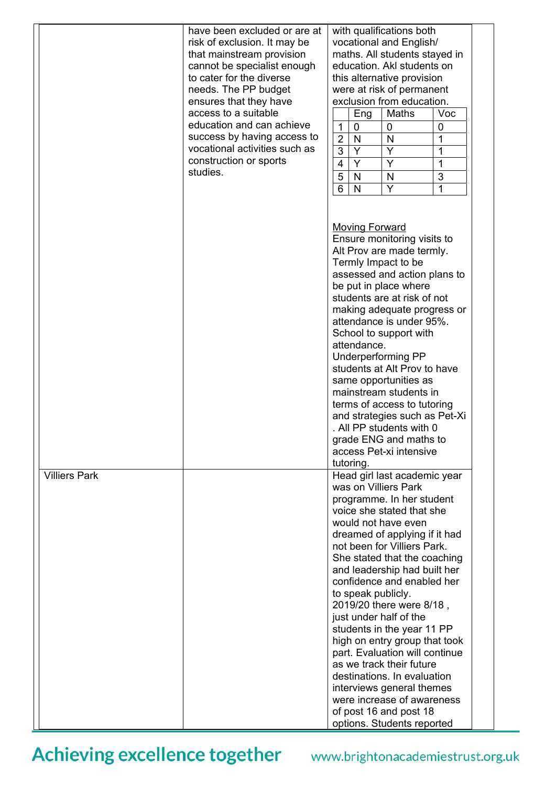|                      | have been excluded or are at<br>risk of exclusion. It may be<br>that mainstream provision<br>cannot be specialist enough<br>to cater for the diverse<br>needs. The PP budget<br>ensures that they have<br>access to a suitable<br>education and can achieve<br>success by having access to<br>vocational activities such as<br>construction or sports<br>studies. | with qualifications both<br>vocational and English/<br>maths. All students stayed in<br>education. Akl students on<br>this alternative provision<br>were at risk of permanent<br>exclusion from education.<br>Maths<br>Voc<br>Eng<br>$\mathbf{1}$<br>0<br>0<br>0<br>$\overline{2}$<br>$\mathsf{N}$<br>1<br>N<br>Y<br>3<br>Y<br>1<br>Y<br>Y<br>4<br>1<br>3<br>5<br>N<br>N<br>Y<br>6<br>N<br>1<br><b>Moving Forward</b><br>Ensure monitoring visits to                                                                                                                                                                                                           |
|----------------------|-------------------------------------------------------------------------------------------------------------------------------------------------------------------------------------------------------------------------------------------------------------------------------------------------------------------------------------------------------------------|----------------------------------------------------------------------------------------------------------------------------------------------------------------------------------------------------------------------------------------------------------------------------------------------------------------------------------------------------------------------------------------------------------------------------------------------------------------------------------------------------------------------------------------------------------------------------------------------------------------------------------------------------------------|
|                      |                                                                                                                                                                                                                                                                                                                                                                   | Alt Prov are made termly.<br>Termly Impact to be<br>assessed and action plans to<br>be put in place where<br>students are at risk of not<br>making adequate progress or<br>attendance is under 95%.<br>School to support with<br>attendance.<br><b>Underperforming PP</b><br>students at Alt Prov to have<br>same opportunities as<br>mainstream students in<br>terms of access to tutoring<br>and strategies such as Pet-Xi<br>. All PP students with 0<br>grade ENG and maths to<br>access Pet-xi intensive<br>tutoring.                                                                                                                                     |
| <b>Villiers Park</b> |                                                                                                                                                                                                                                                                                                                                                                   | Head girl last academic year<br>was on Villiers Park<br>programme. In her student<br>voice she stated that she<br>would not have even<br>dreamed of applying if it had<br>not been for Villiers Park.<br>She stated that the coaching<br>and leadership had built her<br>confidence and enabled her<br>to speak publicly.<br>2019/20 there were 8/18,<br>just under half of the<br>students in the year 11 PP<br>high on entry group that took<br>part. Evaluation will continue<br>as we track their future<br>destinations. In evaluation<br>interviews general themes<br>were increase of awareness<br>of post 16 and post 18<br>options. Students reported |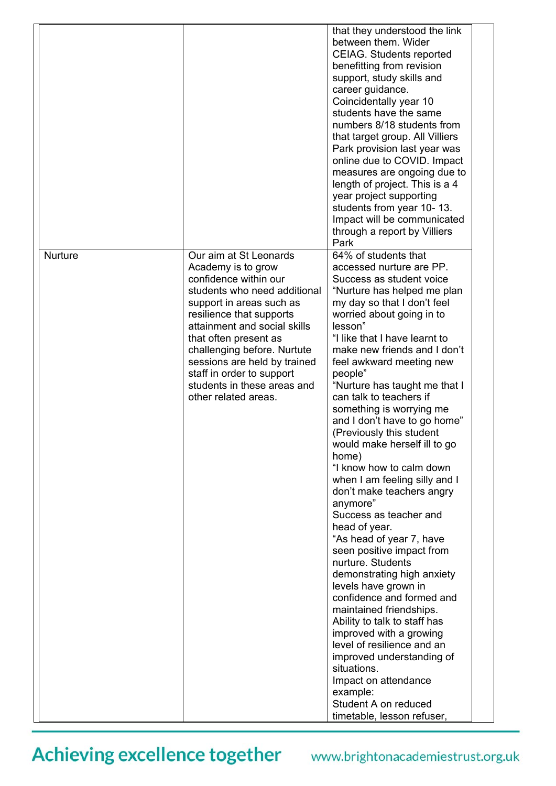|                |                                                                                                                                                                                                                                                                                                                                                                           | that they understood the link<br>between them. Wider<br><b>CEIAG.</b> Students reported<br>benefitting from revision<br>support, study skills and<br>career guidance.<br>Coincidentally year 10<br>students have the same<br>numbers 8/18 students from<br>that target group. All Villiers<br>Park provision last year was<br>online due to COVID. Impact<br>measures are ongoing due to<br>length of project. This is a 4<br>year project supporting<br>students from year 10-13.<br>Impact will be communicated<br>through a report by Villiers<br>Park                                                                                                                                                                                                                                                                                                                                                                                                                                                                                                           |
|----------------|---------------------------------------------------------------------------------------------------------------------------------------------------------------------------------------------------------------------------------------------------------------------------------------------------------------------------------------------------------------------------|---------------------------------------------------------------------------------------------------------------------------------------------------------------------------------------------------------------------------------------------------------------------------------------------------------------------------------------------------------------------------------------------------------------------------------------------------------------------------------------------------------------------------------------------------------------------------------------------------------------------------------------------------------------------------------------------------------------------------------------------------------------------------------------------------------------------------------------------------------------------------------------------------------------------------------------------------------------------------------------------------------------------------------------------------------------------|
| <b>Nurture</b> | Our aim at St Leonards<br>Academy is to grow<br>confidence within our<br>students who need additional<br>support in areas such as<br>resilience that supports<br>attainment and social skills<br>that often present as<br>challenging before. Nurtute<br>sessions are held by trained<br>staff in order to support<br>students in these areas and<br>other related areas. | 64% of students that<br>accessed nurture are PP.<br>Success as student voice<br>"Nurture has helped me plan<br>my day so that I don't feel<br>worried about going in to<br>lesson"<br>"I like that I have learnt to<br>make new friends and I don't<br>feel awkward meeting new<br>people"<br>"Nurture has taught me that I<br>can talk to teachers if<br>something is worrying me<br>and I don't have to go home"<br>(Previously this student<br>would make herself ill to go<br>home)<br>"I know how to calm down<br>when I am feeling silly and I<br>don't make teachers angry<br>anymore"<br>Success as teacher and<br>head of year.<br>"As head of year 7, have<br>seen positive impact from<br>nurture. Students<br>demonstrating high anxiety<br>levels have grown in<br>confidence and formed and<br>maintained friendships.<br>Ability to talk to staff has<br>improved with a growing<br>level of resilience and an<br>improved understanding of<br>situations.<br>Impact on attendance<br>example:<br>Student A on reduced<br>timetable, lesson refuser, |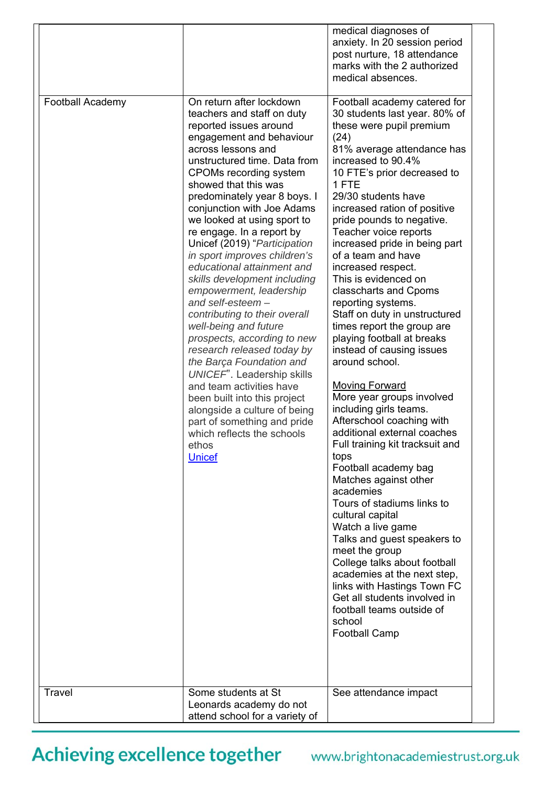| classcharts and Cpoms<br>empowerment, leadership<br>and self-esteem $-$<br>reporting systems.<br>contributing to their overall<br>Staff on duty in unstructured<br>well-being and future<br>times report the group are<br>playing football at breaks<br>prospects, according to new<br>research released today by<br>instead of causing issues<br>around school.<br>the Barça Foundation and<br>UNICEF". Leadership skills<br><b>Moving Forward</b><br>and team activities have<br>More year groups involved<br>been built into this project<br>including girls teams.<br>alongside a culture of being<br>Afterschool coaching with<br>part of something and pride<br>additional external coaches<br>which reflects the schools<br>Full training kit tracksuit and<br>ethos<br>tops<br><b>Unicef</b><br>Football academy bag<br>Matches against other<br>academies<br>Tours of stadiums links to<br>cultural capital<br>Watch a live game<br>Talks and guest speakers to<br>meet the group<br>College talks about football<br>academies at the next step,<br>links with Hastings Town FC<br>Get all students involved in<br>football teams outside of<br>school<br><b>Football Camp</b><br>Travel<br>Some students at St<br>See attendance impact<br>Leonards academy do not<br>attend school for a variety of | <b>Football Academy</b> | On return after lockdown<br>teachers and staff on duty<br>reported issues around<br>engagement and behaviour<br>across lessons and<br>unstructured time. Data from<br>CPOMs recording system<br>showed that this was<br>predominately year 8 boys. I<br>conjunction with Joe Adams<br>we looked at using sport to<br>re engage. In a report by<br>Unicef (2019) "Participation<br>in sport improves children's<br>educational attainment and | medical diagnoses of<br>anxiety. In 20 session period<br>post nurture, 18 attendance<br>marks with the 2 authorized<br>medical absences.<br>Football academy catered for<br>30 students last year. 80% of<br>these were pupil premium<br>(24)<br>81% average attendance has<br>increased to 90.4%<br>10 FTE's prior decreased to<br>1 FTE<br>29/30 students have<br>increased ration of positive<br>pride pounds to negative.<br>Teacher voice reports<br>increased pride in being part<br>of a team and have<br>increased respect. |  |
|----------------------------------------------------------------------------------------------------------------------------------------------------------------------------------------------------------------------------------------------------------------------------------------------------------------------------------------------------------------------------------------------------------------------------------------------------------------------------------------------------------------------------------------------------------------------------------------------------------------------------------------------------------------------------------------------------------------------------------------------------------------------------------------------------------------------------------------------------------------------------------------------------------------------------------------------------------------------------------------------------------------------------------------------------------------------------------------------------------------------------------------------------------------------------------------------------------------------------------------------------------------------------------------------------------------|-------------------------|----------------------------------------------------------------------------------------------------------------------------------------------------------------------------------------------------------------------------------------------------------------------------------------------------------------------------------------------------------------------------------------------------------------------------------------------|-------------------------------------------------------------------------------------------------------------------------------------------------------------------------------------------------------------------------------------------------------------------------------------------------------------------------------------------------------------------------------------------------------------------------------------------------------------------------------------------------------------------------------------|--|
|                                                                                                                                                                                                                                                                                                                                                                                                                                                                                                                                                                                                                                                                                                                                                                                                                                                                                                                                                                                                                                                                                                                                                                                                                                                                                                                |                         | skills development including                                                                                                                                                                                                                                                                                                                                                                                                                 | This is evidenced on                                                                                                                                                                                                                                                                                                                                                                                                                                                                                                                |  |
|                                                                                                                                                                                                                                                                                                                                                                                                                                                                                                                                                                                                                                                                                                                                                                                                                                                                                                                                                                                                                                                                                                                                                                                                                                                                                                                |                         |                                                                                                                                                                                                                                                                                                                                                                                                                                              |                                                                                                                                                                                                                                                                                                                                                                                                                                                                                                                                     |  |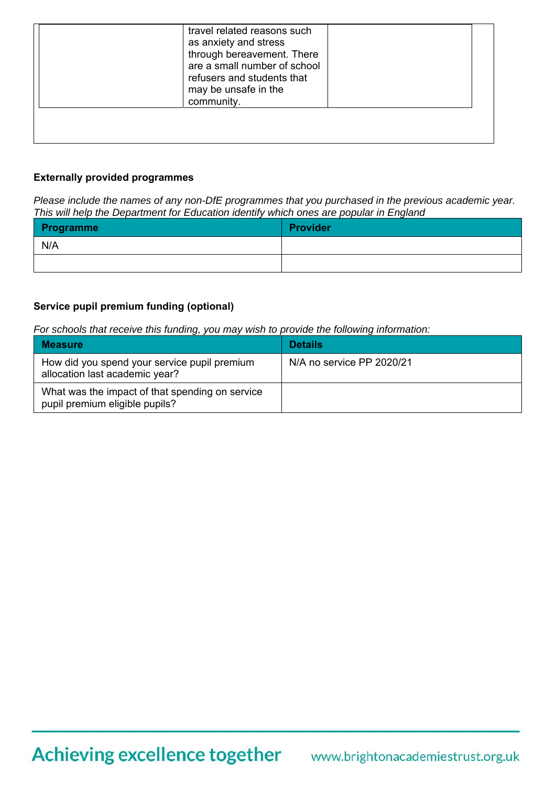|  |  | travel related reasons such<br>as anxiety and stress<br>through bereavement. There<br>are a small number of school<br>refusers and students that<br>may be unsafe in the<br>community. |  |
|--|--|----------------------------------------------------------------------------------------------------------------------------------------------------------------------------------------|--|
|--|--|----------------------------------------------------------------------------------------------------------------------------------------------------------------------------------------|--|

#### **Externally provided programmes**

*Please include the names of any non-DfE programmes that you purchased in the previous academic year. This will help the Department for Education identify which ones are popular in England* 

| <b>Programme</b> | Provider |
|------------------|----------|
| N/A              |          |
|                  |          |

#### **Service pupil premium funding (optional)**

*For schools that receive this funding, you may wish to provide the following information:* 

| <b>Measure</b>                                                                    | <b>Details</b>            |
|-----------------------------------------------------------------------------------|---------------------------|
| How did you spend your service pupil premium<br>allocation last academic year?    | N/A no service PP 2020/21 |
| What was the impact of that spending on service<br>pupil premium eligible pupils? |                           |